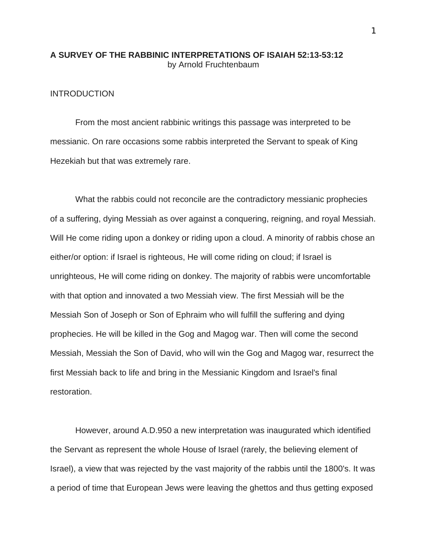# **A SURVEY OF THE RABBINIC INTERPRETATIONS OF ISAIAH 52:13-53:12** by Arnold Fruchtenbaum

# **INTRODUCTION**

From the most ancient rabbinic writings this passage was interpreted to be messianic. On rare occasions some rabbis interpreted the Servant to speak of King Hezekiah but that was extremely rare.

What the rabbis could not reconcile are the contradictory messianic prophecies of a suffering, dying Messiah as over against a conquering, reigning, and royal Messiah. Will He come riding upon a donkey or riding upon a cloud. A minority of rabbis chose an either/or option: if Israel is righteous, He will come riding on cloud; if Israel is unrighteous, He will come riding on donkey. The majority of rabbis were uncomfortable with that option and innovated a two Messiah view. The first Messiah will be the Messiah Son of Joseph or Son of Ephraim who will fulfill the suffering and dying prophecies. He will be killed in the Gog and Magog war. Then will come the second Messiah, Messiah the Son of David, who will win the Gog and Magog war, resurrect the first Messiah back to life and bring in the Messianic Kingdom and Israel's final restoration.

However, around A.D.950 a new interpretation was inaugurated which identified the Servant as represent the whole House of Israel (rarely, the believing element of Israel), a view that was rejected by the vast majority of the rabbis until the 1800's. It was a period of time that European Jews were leaving the ghettos and thus getting exposed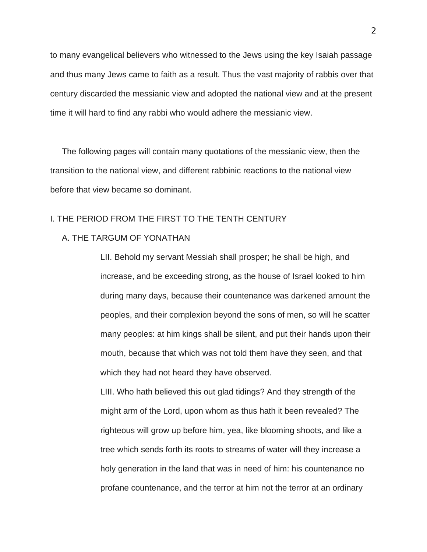to many evangelical believers who witnessed to the Jews using the key Isaiah passage and thus many Jews came to faith as a result. Thus the vast majority of rabbis over that century discarded the messianic view and adopted the national view and at the present time it will hard to find any rabbi who would adhere the messianic view.

The following pages will contain many quotations of the messianic view, then the transition to the national view, and different rabbinic reactions to the national view before that view became so dominant.

# I. THE PERIOD FROM THE FIRST TO THE TENTH CENTURY

# A. THE TARGUM OF YONATHAN

LII. Behold my servant Messiah shall prosper; he shall be high, and increase, and be exceeding strong, as the house of Israel looked to him during many days, because their countenance was darkened amount the peoples, and their complexion beyond the sons of men, so will he scatter many peoples: at him kings shall be silent, and put their hands upon their mouth, because that which was not told them have they seen, and that which they had not heard they have observed.

LIII. Who hath believed this out glad tidings? And they strength of the might arm of the Lord, upon whom as thus hath it been revealed? The righteous will grow up before him, yea, like blooming shoots, and like a tree which sends forth its roots to streams of water will they increase a holy generation in the land that was in need of him: his countenance no profane countenance, and the terror at him not the terror at an ordinary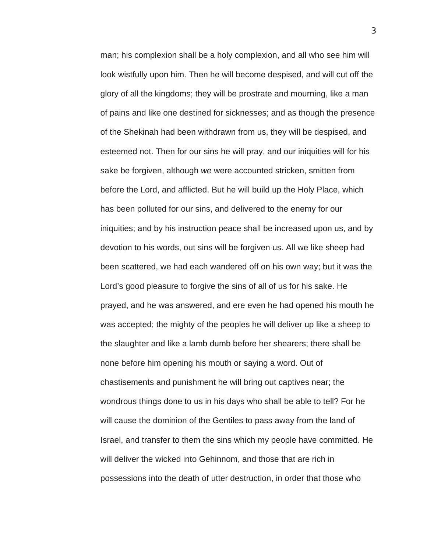man; his complexion shall be a holy complexion, and all who see him will look wistfully upon him. Then he will become despised, and will cut off the glory of all the kingdoms; they will be prostrate and mourning, like a man of pains and like one destined for sicknesses; and as though the presence of the Shekinah had been withdrawn from us, they will be despised, and esteemed not. Then for our sins he will pray, and our iniquities will for his sake be forgiven, although *we* were accounted stricken, smitten from before the Lord, and afflicted. But he will build up the Holy Place, which has been polluted for our sins, and delivered to the enemy for our iniquities; and by his instruction peace shall be increased upon us, and by devotion to his words, out sins will be forgiven us. All we like sheep had been scattered, we had each wandered off on his own way; but it was the Lord's good pleasure to forgive the sins of all of us for his sake. He prayed, and he was answered, and ere even he had opened his mouth he was accepted; the mighty of the peoples he will deliver up like a sheep to the slaughter and like a lamb dumb before her shearers; there shall be none before him opening his mouth or saying a word. Out of chastisements and punishment he will bring out captives near; the wondrous things done to us in his days who shall be able to tell? For he will cause the dominion of the Gentiles to pass away from the land of Israel, and transfer to them the sins which my people have committed. He will deliver the wicked into Gehinnom, and those that are rich in possessions into the death of utter destruction, in order that those who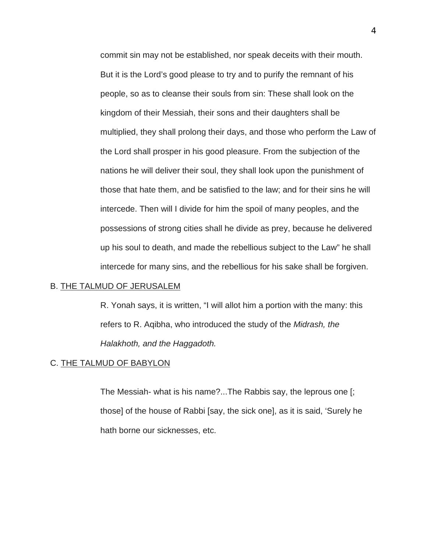commit sin may not be established, nor speak deceits with their mouth. But it is the Lord's good please to try and to purify the remnant of his people, so as to cleanse their souls from sin: These shall look on the kingdom of their Messiah, their sons and their daughters shall be multiplied, they shall prolong their days, and those who perform the Law of the Lord shall prosper in his good pleasure. From the subjection of the nations he will deliver their soul, they shall look upon the punishment of those that hate them, and be satisfied to the law; and for their sins he will intercede. Then will I divide for him the spoil of many peoples, and the possessions of strong cities shall he divide as prey, because he delivered up his soul to death, and made the rebellious subject to the Law" he shall intercede for many sins, and the rebellious for his sake shall be forgiven.

### B. THE TALMUD OF JERUSALEM

R. Yonah says, it is written, "I will allot him a portion with the many: this refers to R. Aqibha, who introduced the study of the *Midrash, the Halakhoth, and the Haggadoth.* 

# C. THE TALMUD OF BABYLON

The Messiah- what is his name?...The Rabbis say, the leprous one [; those] of the house of Rabbi [say, the sick one], as it is said, 'Surely he hath borne our sicknesses, etc.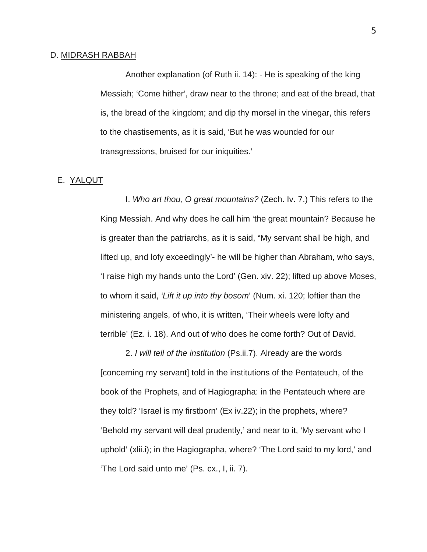### D. MIDRASH RABBAH

Another explanation (of Ruth ii. 14): - He is speaking of the king Messiah; 'Come hither', draw near to the throne; and eat of the bread, that is, the bread of the kingdom; and dip thy morsel in the vinegar, this refers to the chastisements, as it is said, 'But he was wounded for our transgressions, bruised for our iniquities.'

## E. YALQUT

I. *Who art thou, O great mountains?* (Zech. Iv. 7.) This refers to the King Messiah. And why does he call him 'the great mountain? Because he is greater than the patriarchs, as it is said, "My servant shall be high, and lifted up, and lofy exceedingly'- he will be higher than Abraham, who says, 'I raise high my hands unto the Lord' (Gen. xiv. 22); lifted up above Moses, to whom it said, *'Lift it up into thy bosom*' (Num. xi. 120; loftier than the ministering angels, of who, it is written, 'Their wheels were lofty and terrible' (Ez. i. 18). And out of who does he come forth? Out of David.

2. *I will tell of the institution* (Ps.ii.7). Already are the words [concerning my servant] told in the institutions of the Pentateuch, of the book of the Prophets, and of Hagiographa: in the Pentateuch where are they told? 'Israel is my firstborn' (Ex iv.22); in the prophets, where? 'Behold my servant will deal prudently,' and near to it, 'My servant who I uphold' (xlii.i); in the Hagiographa, where? 'The Lord said to my lord,' and 'The Lord said unto me' (Ps. cx., I, ii. 7).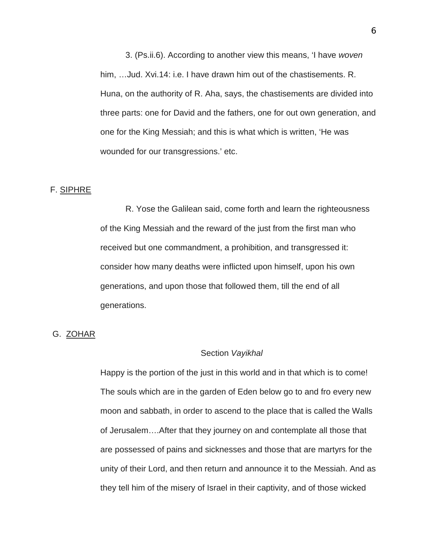3. (Ps.ii.6). According to another view this means, 'I have *woven* him, …Jud. Xvi.14: i.e. I have drawn him out of the chastisements. R. Huna, on the authority of R. Aha, says, the chastisements are divided into three parts: one for David and the fathers, one for out own generation, and one for the King Messiah; and this is what which is written, 'He was wounded for our transgressions.' etc.

#### F. SIPHRE

R. Yose the Galilean said, come forth and learn the righteousness of the King Messiah and the reward of the just from the first man who received but one commandment, a prohibition, and transgressed it: consider how many deaths were inflicted upon himself, upon his own generations, and upon those that followed them, till the end of all generations.

## G. ZOHAR

### Section *Vayikhal*

Happy is the portion of the just in this world and in that which is to come! The souls which are in the garden of Eden below go to and fro every new moon and sabbath, in order to ascend to the place that is called the Walls of Jerusalem….After that they journey on and contemplate all those that are possessed of pains and sicknesses and those that are martyrs for the unity of their Lord, and then return and announce it to the Messiah. And as they tell him of the misery of Israel in their captivity, and of those wicked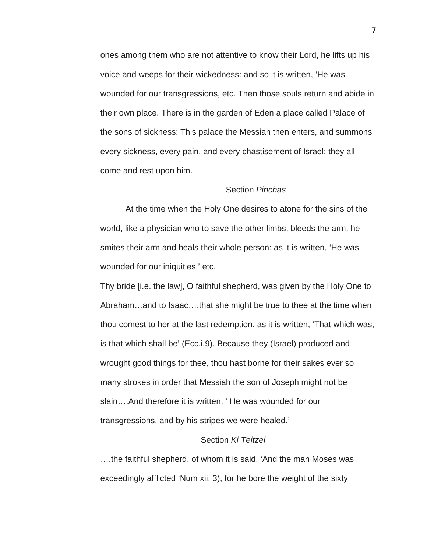ones among them who are not attentive to know their Lord, he lifts up his voice and weeps for their wickedness: and so it is written, 'He was wounded for our transgressions, etc. Then those souls return and abide in their own place. There is in the garden of Eden a place called Palace of the sons of sickness: This palace the Messiah then enters, and summons every sickness, every pain, and every chastisement of Israel; they all come and rest upon him.

## Section *Pinchas*

At the time when the Holy One desires to atone for the sins of the world, like a physician who to save the other limbs, bleeds the arm, he smites their arm and heals their whole person: as it is written, 'He was wounded for our iniquities,' etc.

Thy bride [i.e. the law], O faithful shepherd, was given by the Holy One to Abraham…and to Isaac….that she might be true to thee at the time when thou comest to her at the last redemption, as it is written, 'That which was, is that which shall be' (Ecc.i.9). Because they (Israel) produced and wrought good things for thee, thou hast borne for their sakes ever so many strokes in order that Messiah the son of Joseph might not be slain….And therefore it is written, ' He was wounded for our transgressions, and by his stripes we were healed.'

# Section *Ki Teitzei*

….the faithful shepherd, of whom it is said, 'And the man Moses was exceedingly afflicted 'Num xii. 3), for he bore the weight of the sixty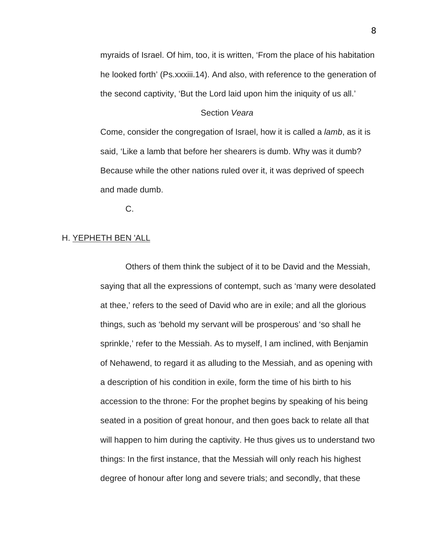myraids of Israel. Of him, too, it is written, 'From the place of his habitation he looked forth' (Ps.xxxiii.14). And also, with reference to the generation of the second captivity, 'But the Lord laid upon him the iniquity of us all.'

## Section *Veara*

Come, consider the congregation of Israel, how it is called a *lamb*, as it is said, 'Like a lamb that before her shearers is dumb. Why was it dumb? Because while the other nations ruled over it, it was deprived of speech and made dumb.

C.

# H. YEPHETH BEN 'ALL

Others of them think the subject of it to be David and the Messiah, saying that all the expressions of contempt, such as 'many were desolated at thee,' refers to the seed of David who are in exile; and all the glorious things, such as 'behold my servant will be prosperous' and 'so shall he sprinkle,' refer to the Messiah. As to myself, I am inclined, with Benjamin of Nehawend, to regard it as alluding to the Messiah, and as opening with a description of his condition in exile, form the time of his birth to his accession to the throne: For the prophet begins by speaking of his being seated in a position of great honour, and then goes back to relate all that will happen to him during the captivity. He thus gives us to understand two things: In the first instance, that the Messiah will only reach his highest degree of honour after long and severe trials; and secondly, that these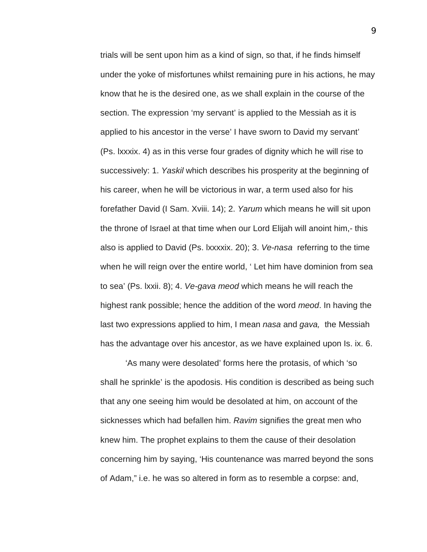trials will be sent upon him as a kind of sign, so that, if he finds himself under the yoke of misfortunes whilst remaining pure in his actions, he may know that he is the desired one, as we shall explain in the course of the section. The expression 'my servant' is applied to the Messiah as it is applied to his ancestor in the verse' I have sworn to David my servant' (Ps. lxxxix. 4) as in this verse four grades of dignity which he will rise to successively: 1. *Yaskil* which describes his prosperity at the beginning of his career, when he will be victorious in war, a term used also for his forefather David (I Sam. Xviii. 14); 2. *Yarum* which means he will sit upon the throne of Israel at that time when our Lord Elijah will anoint him,- this also is applied to David (Ps. lxxxxix. 20); 3. *Ve-nasa* referring to the time when he will reign over the entire world, ' Let him have dominion from sea to sea' (Ps. lxxii. 8); 4. *Ve-gava meod* which means he will reach the highest rank possible; hence the addition of the word *meod*. In having the last two expressions applied to him, I mean *nasa* and *gava,* the Messiah has the advantage over his ancestor, as we have explained upon Is. ix. 6.

'As many were desolated' forms here the protasis, of which 'so shall he sprinkle' is the apodosis. His condition is described as being such that any one seeing him would be desolated at him, on account of the sicknesses which had befallen him. *Ravim* signifies the great men who knew him. The prophet explains to them the cause of their desolation concerning him by saying, 'His countenance was marred beyond the sons of Adam," i.e. he was so altered in form as to resemble a corpse: and,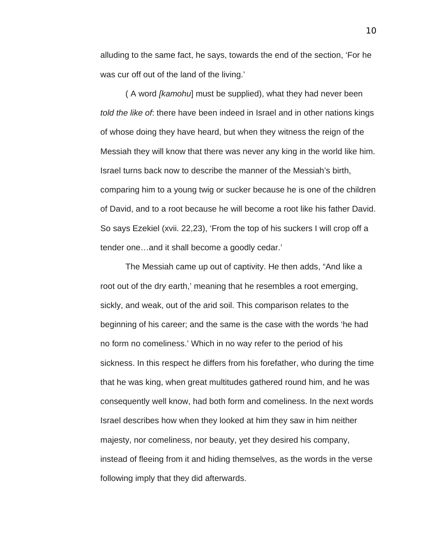alluding to the same fact, he says, towards the end of the section, 'For he was cur off out of the land of the living.'

( A word *[kamohu*] must be supplied), what they had never been *told the like of*: there have been indeed in Israel and in other nations kings of whose doing they have heard, but when they witness the reign of the Messiah they will know that there was never any king in the world like him. Israel turns back now to describe the manner of the Messiah's birth, comparing him to a young twig or sucker because he is one of the children of David, and to a root because he will become a root like his father David. So says Ezekiel (xvii. 22,23), 'From the top of his suckers I will crop off a tender one…and it shall become a goodly cedar.'

The Messiah came up out of captivity. He then adds, "And like a root out of the dry earth,' meaning that he resembles a root emerging, sickly, and weak, out of the arid soil. This comparison relates to the beginning of his career; and the same is the case with the words 'he had no form no comeliness.' Which in no way refer to the period of his sickness. In this respect he differs from his forefather, who during the time that he was king, when great multitudes gathered round him, and he was consequently well know, had both form and comeliness. In the next words Israel describes how when they looked at him they saw in him neither majesty, nor comeliness, nor beauty, yet they desired his company, instead of fleeing from it and hiding themselves, as the words in the verse following imply that they did afterwards.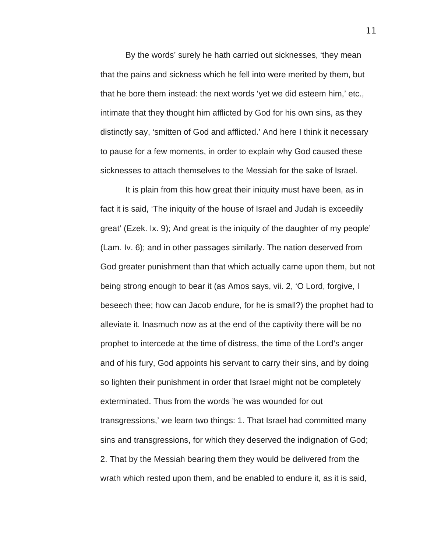By the words' surely he hath carried out sicknesses, 'they mean that the pains and sickness which he fell into were merited by them, but that he bore them instead: the next words 'yet we did esteem him,' etc., intimate that they thought him afflicted by God for his own sins, as they distinctly say, 'smitten of God and afflicted.' And here I think it necessary to pause for a few moments, in order to explain why God caused these sicknesses to attach themselves to the Messiah for the sake of Israel.

It is plain from this how great their iniquity must have been, as in fact it is said, 'The iniquity of the house of Israel and Judah is exceedily great' (Ezek. Ix. 9); And great is the iniquity of the daughter of my people' (Lam. Iv. 6); and in other passages similarly. The nation deserved from God greater punishment than that which actually came upon them, but not being strong enough to bear it (as Amos says, vii. 2, 'O Lord, forgive, I beseech thee; how can Jacob endure, for he is small?) the prophet had to alleviate it. Inasmuch now as at the end of the captivity there will be no prophet to intercede at the time of distress, the time of the Lord's anger and of his fury, God appoints his servant to carry their sins, and by doing so lighten their punishment in order that Israel might not be completely exterminated. Thus from the words 'he was wounded for out transgressions,' we learn two things: 1. That Israel had committed many sins and transgressions, for which they deserved the indignation of God; 2. That by the Messiah bearing them they would be delivered from the wrath which rested upon them, and be enabled to endure it, as it is said,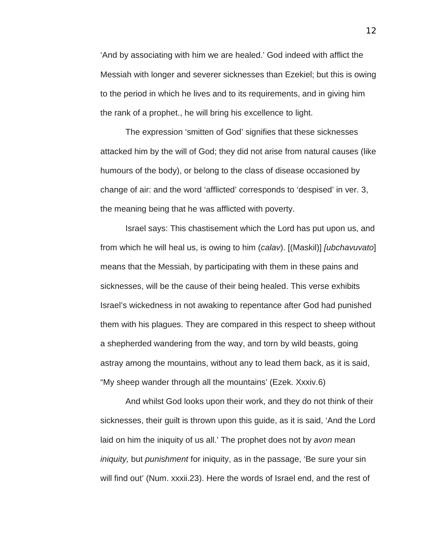'And by associating with him we are healed.' God indeed with afflict the Messiah with longer and severer sicknesses than Ezekiel; but this is owing to the period in which he lives and to its requirements, and in giving him the rank of a prophet., he will bring his excellence to light.

The expression 'smitten of God' signifies that these sicknesses attacked him by the will of God; they did not arise from natural causes (like humours of the body), or belong to the class of disease occasioned by change of air: and the word 'afflicted' corresponds to 'despised' in ver. 3, the meaning being that he was afflicted with poverty.

Israel says: This chastisement which the Lord has put upon us, and from which he will heal us, is owing to him (*calav*). [(Maskil)] *[ubchavuvato*] means that the Messiah, by participating with them in these pains and sicknesses, will be the cause of their being healed. This verse exhibits Israel's wickedness in not awaking to repentance after God had punished them with his plagues. They are compared in this respect to sheep without a shepherded wandering from the way, and torn by wild beasts, going astray among the mountains, without any to lead them back, as it is said, "My sheep wander through all the mountains' (Ezek. Xxxiv.6)

And whilst God looks upon their work, and they do not think of their sicknesses, their guilt is thrown upon this guide, as it is said, 'And the Lord laid on him the iniquity of us all.' The prophet does not by *avon* mean *iniquity,* but *punishment* for iniquity, as in the passage, 'Be sure your sin will find out' (Num. xxxii.23). Here the words of Israel end, and the rest of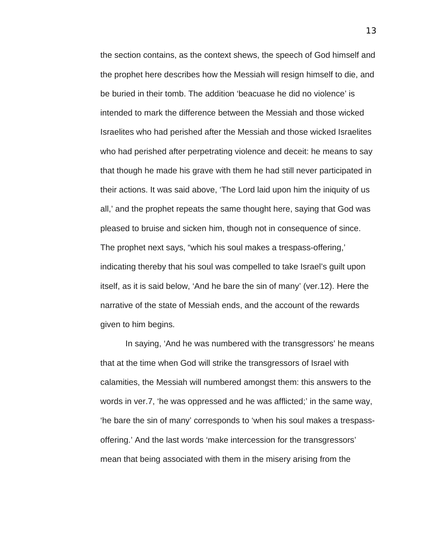the section contains, as the context shews, the speech of God himself and the prophet here describes how the Messiah will resign himself to die, and be buried in their tomb. The addition 'beacuase he did no violence' is intended to mark the difference between the Messiah and those wicked Israelites who had perished after the Messiah and those wicked Israelites who had perished after perpetrating violence and deceit: he means to say that though he made his grave with them he had still never participated in their actions. It was said above, 'The Lord laid upon him the iniquity of us all,' and the prophet repeats the same thought here, saying that God was pleased to bruise and sicken him, though not in consequence of since. The prophet next says, "which his soul makes a trespass-offering,' indicating thereby that his soul was compelled to take Israel's guilt upon itself, as it is said below, 'And he bare the sin of many' (ver.12). Here the narrative of the state of Messiah ends, and the account of the rewards given to him begins.

In saying, 'And he was numbered with the transgressors' he means that at the time when God will strike the transgressors of Israel with calamities, the Messiah will numbered amongst them: this answers to the words in ver.7, 'he was oppressed and he was afflicted;' in the same way, 'he bare the sin of many' corresponds to 'when his soul makes a trespassoffering.' And the last words 'make intercession for the transgressors' mean that being associated with them in the misery arising from the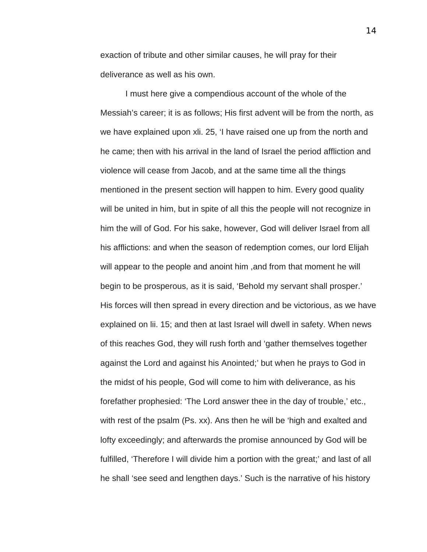exaction of tribute and other similar causes, he will pray for their deliverance as well as his own.

I must here give a compendious account of the whole of the Messiah's career; it is as follows; His first advent will be from the north, as we have explained upon xli. 25, 'I have raised one up from the north and he came; then with his arrival in the land of Israel the period affliction and violence will cease from Jacob, and at the same time all the things mentioned in the present section will happen to him. Every good quality will be united in him, but in spite of all this the people will not recognize in him the will of God. For his sake, however, God will deliver Israel from all his afflictions: and when the season of redemption comes, our lord Elijah will appear to the people and anoint him ,and from that moment he will begin to be prosperous, as it is said, 'Behold my servant shall prosper.' His forces will then spread in every direction and be victorious, as we have explained on lii. 15; and then at last Israel will dwell in safety. When news of this reaches God, they will rush forth and 'gather themselves together against the Lord and against his Anointed;' but when he prays to God in the midst of his people, God will come to him with deliverance, as his forefather prophesied: 'The Lord answer thee in the day of trouble,' etc., with rest of the psalm (Ps. xx). Ans then he will be 'high and exalted and lofty exceedingly; and afterwards the promise announced by God will be fulfilled, 'Therefore I will divide him a portion with the great;' and last of all he shall 'see seed and lengthen days.' Such is the narrative of his history

14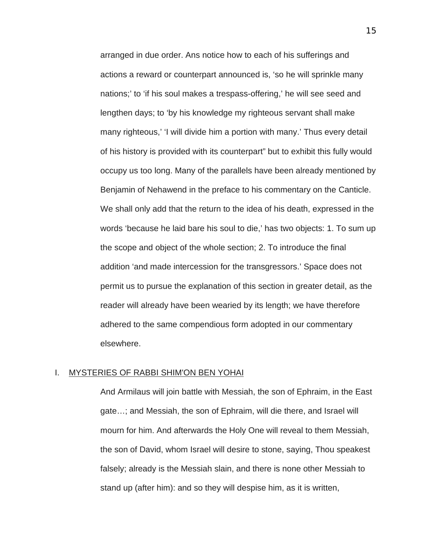arranged in due order. Ans notice how to each of his sufferings and actions a reward or counterpart announced is, 'so he will sprinkle many nations;' to 'if his soul makes a trespass-offering,' he will see seed and lengthen days; to 'by his knowledge my righteous servant shall make many righteous,' 'I will divide him a portion with many.' Thus every detail of his history is provided with its counterpart" but to exhibit this fully would occupy us too long. Many of the parallels have been already mentioned by Benjamin of Nehawend in the preface to his commentary on the Canticle. We shall only add that the return to the idea of his death, expressed in the words 'because he laid bare his soul to die,' has two objects: 1. To sum up the scope and object of the whole section; 2. To introduce the final addition 'and made intercession for the transgressors.' Space does not permit us to pursue the explanation of this section in greater detail, as the reader will already have been wearied by its length; we have therefore adhered to the same compendious form adopted in our commentary elsewhere.

### I. MYSTERIES OF RABBI SHIM'ON BEN YOHAI

And Armilaus will join battle with Messiah, the son of Ephraim, in the East gate…; and Messiah, the son of Ephraim, will die there, and Israel will mourn for him. And afterwards the Holy One will reveal to them Messiah, the son of David, whom Israel will desire to stone, saying, Thou speakest falsely; already is the Messiah slain, and there is none other Messiah to stand up (after him): and so they will despise him, as it is written,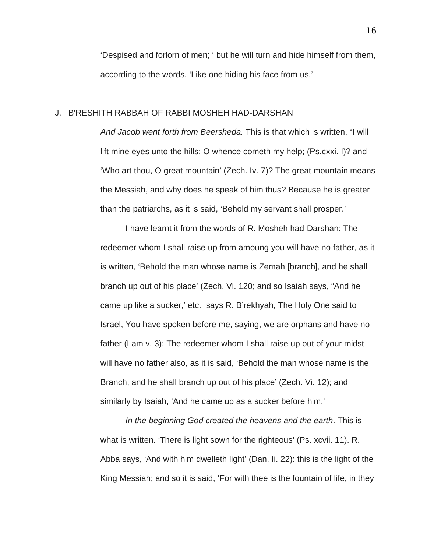'Despised and forlorn of men; ' but he will turn and hide himself from them, according to the words, 'Like one hiding his face from us.'

# J. B'RESHITH RABBAH OF RABBI MOSHEH HAD-DARSHAN

*And Jacob went forth from Beersheda.* This is that which is written, "I will lift mine eyes unto the hills; O whence cometh my help; (Ps.cxxi. I)? and 'Who art thou, O great mountain' (Zech. Iv. 7)? The great mountain means the Messiah, and why does he speak of him thus? Because he is greater than the patriarchs, as it is said, 'Behold my servant shall prosper.'

I have learnt it from the words of R. Mosheh had-Darshan: The redeemer whom I shall raise up from amoung you will have no father, as it is written, 'Behold the man whose name is Zemah [branch], and he shall branch up out of his place' (Zech. Vi. 120; and so Isaiah says, "And he came up like a sucker,' etc. says R. B'rekhyah, The Holy One said to Israel, You have spoken before me, saying, we are orphans and have no father (Lam v. 3): The redeemer whom I shall raise up out of your midst will have no father also, as it is said, 'Behold the man whose name is the Branch, and he shall branch up out of his place' (Zech. Vi. 12); and similarly by Isaiah, 'And he came up as a sucker before him.'

*In the beginning God created the heavens and the earth*. This is what is written. 'There is light sown for the righteous' (Ps. xcvii. 11). R. Abba says, 'And with him dwelleth light' (Dan. Ii. 22): this is the light of the King Messiah; and so it is said, 'For with thee is the fountain of life, in they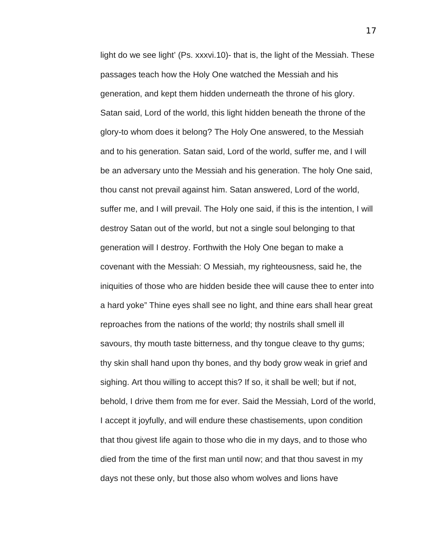light do we see light' (Ps. xxxvi.10)- that is, the light of the Messiah. These passages teach how the Holy One watched the Messiah and his generation, and kept them hidden underneath the throne of his glory. Satan said, Lord of the world, this light hidden beneath the throne of the glory-to whom does it belong? The Holy One answered, to the Messiah and to his generation. Satan said, Lord of the world, suffer me, and I will be an adversary unto the Messiah and his generation. The holy One said, thou canst not prevail against him. Satan answered, Lord of the world, suffer me, and I will prevail. The Holy one said, if this is the intention, I will destroy Satan out of the world, but not a single soul belonging to that generation will I destroy. Forthwith the Holy One began to make a covenant with the Messiah: O Messiah, my righteousness, said he, the iniquities of those who are hidden beside thee will cause thee to enter into a hard yoke" Thine eyes shall see no light, and thine ears shall hear great reproaches from the nations of the world; thy nostrils shall smell ill savours, thy mouth taste bitterness, and thy tongue cleave to thy gums; thy skin shall hand upon thy bones, and thy body grow weak in grief and sighing. Art thou willing to accept this? If so, it shall be well; but if not, behold, I drive them from me for ever. Said the Messiah, Lord of the world, I accept it joyfully, and will endure these chastisements, upon condition that thou givest life again to those who die in my days, and to those who died from the time of the first man until now; and that thou savest in my days not these only, but those also whom wolves and lions have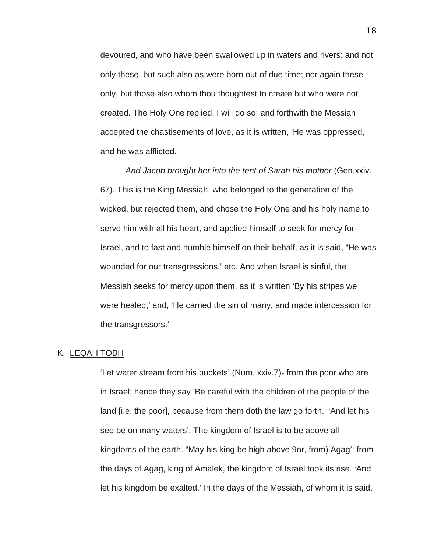devoured, and who have been swallowed up in waters and rivers; and not only these, but such also as were born out of due time; nor again these only, but those also whom thou thoughtest to create but who were not created. The Holy One replied, I will do so: and forthwith the Messiah accepted the chastisements of love, as it is written, 'He was oppressed, and he was afflicted.

And Jacob brought her into the tent of Sarah his mother *(Gen.xxiv.*) 67). This is the King Messiah, who belonged to the generation of the wicked, but rejected them, and chose the Holy One and his holy name to serve him with all his heart, and applied himself to seek for mercy for Israel, and to fast and humble himself on their behalf, as it is said, "He was wounded for our transgressions,' etc. And when Israel is sinful, the Messiah seeks for mercy upon them, as it is written 'By his stripes we were healed,' and, 'He carried the sin of many, and made intercession for the transgressors.'

### K. LEQAH TOBH

'Let water stream from his buckets' (Num. xxiv.7)- from the poor who are in Israel: hence they say 'Be careful with the children of the people of the land [i.e. the poor], because from them doth the law go forth.' 'And let his see be on many waters': The kingdom of Israel is to be above all kingdoms of the earth. "May his king be high above 9or, from) Agag': from the days of Agag, king of Amalek, the kingdom of Israel took its rise. 'And let his kingdom be exalted.' In the days of the Messiah, of whom it is said,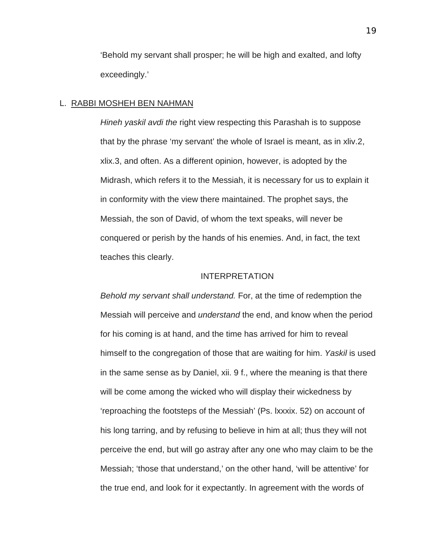'Behold my servant shall prosper; he will be high and exalted, and lofty exceedingly.'

## L. RABBI MOSHEH BEN NAHMAN

*Hineh yaskil avdi the* right view respecting this Parashah is to suppose that by the phrase 'my servant' the whole of Israel is meant, as in xliv.2, xlix.3, and often. As a different opinion, however, is adopted by the Midrash, which refers it to the Messiah, it is necessary for us to explain it in conformity with the view there maintained. The prophet says, the Messiah, the son of David, of whom the text speaks, will never be conquered or perish by the hands of his enemies. And, in fact, the text teaches this clearly.

# INTERPRETATION

*Behold my servant shall understand.* For, at the time of redemption the Messiah will perceive and *understand* the end, and know when the period for his coming is at hand, and the time has arrived for him to reveal himself to the congregation of those that are waiting for him. *Yaskil* is used in the same sense as by Daniel, xii. 9 f., where the meaning is that there will be come among the wicked who will display their wickedness by 'reproaching the footsteps of the Messiah' (Ps. lxxxix. 52) on account of his long tarring, and by refusing to believe in him at all; thus they will not perceive the end, but will go astray after any one who may claim to be the Messiah; 'those that understand,' on the other hand, 'will be attentive' for the true end, and look for it expectantly. In agreement with the words of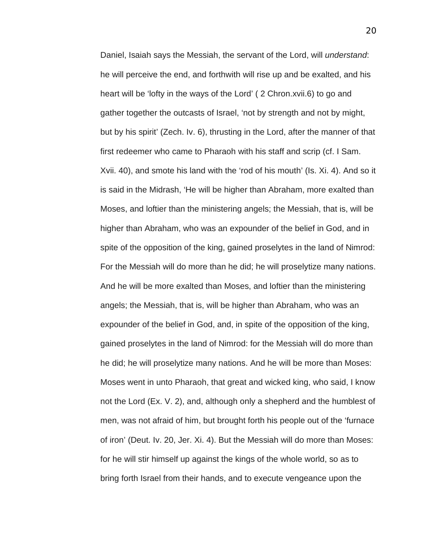Daniel, Isaiah says the Messiah, the servant of the Lord, will *understand*: he will perceive the end, and forthwith will rise up and be exalted, and his heart will be 'lofty in the ways of the Lord' ( 2 Chron.xvii.6) to go and gather together the outcasts of Israel, 'not by strength and not by might, but by his spirit' (Zech. Iv. 6), thrusting in the Lord, after the manner of that first redeemer who came to Pharaoh with his staff and scrip (cf. I Sam. Xvii. 40), and smote his land with the 'rod of his mouth' (Is. Xi. 4). And so it is said in the Midrash, 'He will be higher than Abraham, more exalted than Moses, and loftier than the ministering angels; the Messiah, that is, will be higher than Abraham, who was an expounder of the belief in God, and in spite of the opposition of the king, gained proselytes in the land of Nimrod: For the Messiah will do more than he did; he will proselytize many nations. And he will be more exalted than Moses, and loftier than the ministering angels; the Messiah, that is, will be higher than Abraham, who was an expounder of the belief in God, and, in spite of the opposition of the king, gained proselytes in the land of Nimrod: for the Messiah will do more than he did; he will proselytize many nations. And he will be more than Moses: Moses went in unto Pharaoh, that great and wicked king, who said, I know not the Lord (Ex. V. 2), and, although only a shepherd and the humblest of men, was not afraid of him, but brought forth his people out of the 'furnace of iron' (Deut. Iv. 20, Jer. Xi. 4). But the Messiah will do more than Moses: for he will stir himself up against the kings of the whole world, so as to bring forth Israel from their hands, and to execute vengeance upon the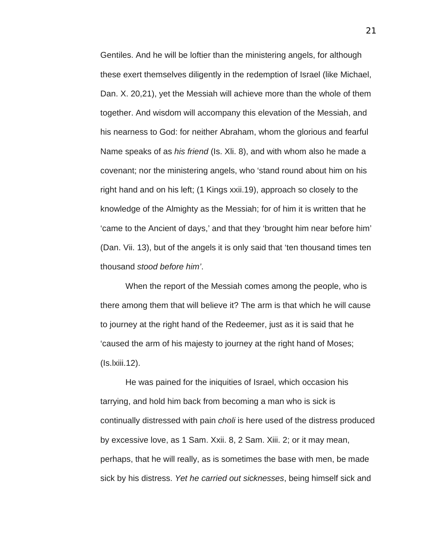Gentiles. And he will be loftier than the ministering angels, for although these exert themselves diligently in the redemption of Israel (like Michael, Dan. X. 20,21), yet the Messiah will achieve more than the whole of them together. And wisdom will accompany this elevation of the Messiah, and his nearness to God: for neither Abraham, whom the glorious and fearful Name speaks of as *his friend* (Is. Xli. 8), and with whom also he made a covenant; nor the ministering angels, who 'stand round about him on his right hand and on his left; (1 Kings xxii.19), approach so closely to the knowledge of the Almighty as the Messiah; for of him it is written that he 'came to the Ancient of days,' and that they 'brought him near before him' (Dan. Vii. 13), but of the angels it is only said that 'ten thousand times ten thousand *stood before him'*.

When the report of the Messiah comes among the people, who is there among them that will believe it? The arm is that which he will cause to journey at the right hand of the Redeemer, just as it is said that he 'caused the arm of his majesty to journey at the right hand of Moses; (Is.lxiii.12).

He was pained for the iniquities of Israel, which occasion his tarrying, and hold him back from becoming a man who is sick is continually distressed with pain *choli* is here used of the distress produced by excessive love, as 1 Sam. Xxii. 8, 2 Sam. Xiii. 2; or it may mean, perhaps, that he will really, as is sometimes the base with men, be made sick by his distress. *Yet he carried out sicknesses*, being himself sick and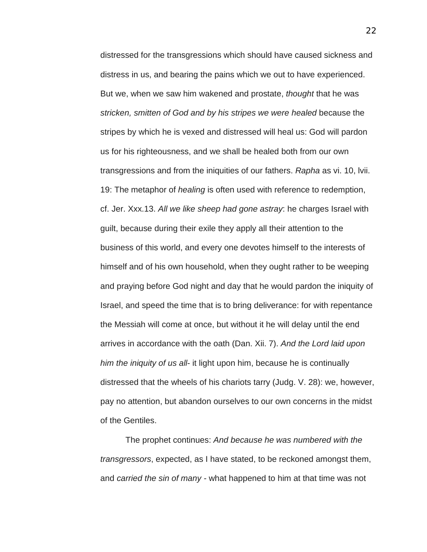distressed for the transgressions which should have caused sickness and distress in us, and bearing the pains which we out to have experienced. But we, when we saw him wakened and prostate, *thought* that he was *stricken, smitten of God and by his stripes we were healed* because the stripes by which he is vexed and distressed will heal us: God will pardon us for his righteousness, and we shall be healed both from our own transgressions and from the iniquities of our fathers. *Rapha* as vi. 10, lvii. 19: The metaphor of *healing* is often used with reference to redemption, cf. Jer. Xxx.13. *All we like sheep had gone astray*: he charges Israel with guilt, because during their exile they apply all their attention to the business of this world, and every one devotes himself to the interests of himself and of his own household, when they ought rather to be weeping and praying before God night and day that he would pardon the iniquity of Israel, and speed the time that is to bring deliverance: for with repentance the Messiah will come at once, but without it he will delay until the end arrives in accordance with the oath (Dan. Xii. 7). *And the Lord laid upon him the iniquity of us all*- it light upon him, because he is continually distressed that the wheels of his chariots tarry (Judg. V. 28): we, however, pay no attention, but abandon ourselves to our own concerns in the midst of the Gentiles.

The prophet continues: *And because he was numbered with the transgressors*, expected, as I have stated, to be reckoned amongst them, and *carried the sin of many -* what happened to him at that time was not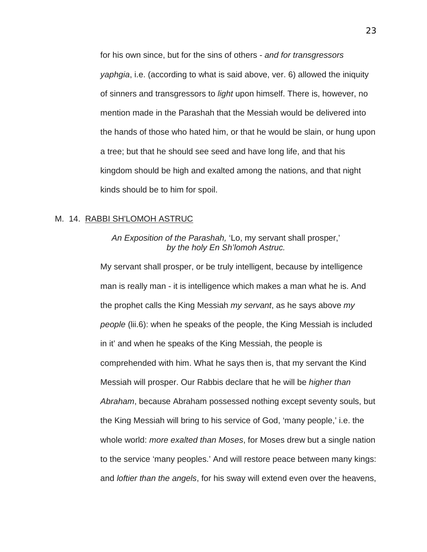for his own since, but for the sins of others - *and for transgressors yaphgia*, i.e. (according to what is said above, ver. 6) allowed the iniquity of sinners and transgressors to *light* upon himself. There is, however, no mention made in the Parashah that the Messiah would be delivered into the hands of those who hated him, or that he would be slain, or hung upon a tree; but that he should see seed and have long life, and that his kingdom should be high and exalted among the nations, and that night kinds should be to him for spoil.

# M. 14. RABBI SH'LOMOH ASTRUC

# *An Exposition of the Parashah,* 'Lo, my servant shall prosper,' *by the holy En Sh'lomoh Astruc.*

My servant shall prosper, or be truly intelligent, because by intelligence man is really man - it is intelligence which makes a man what he is. And the prophet calls the King Messiah *my servant*, as he says above *my people* (lii.6): when he speaks of the people, the King Messiah is included in it' and when he speaks of the King Messiah, the people is comprehended with him. What he says then is, that my servant the Kind Messiah will prosper. Our Rabbis declare that he will be *higher than Abraham*, because Abraham possessed nothing except seventy souls, but the King Messiah will bring to his service of God, 'many people,' i.e. the whole world: *more exalted than Moses*, for Moses drew but a single nation to the service 'many peoples.' And will restore peace between many kings: and *loftier than the angels*, for his sway will extend even over the heavens,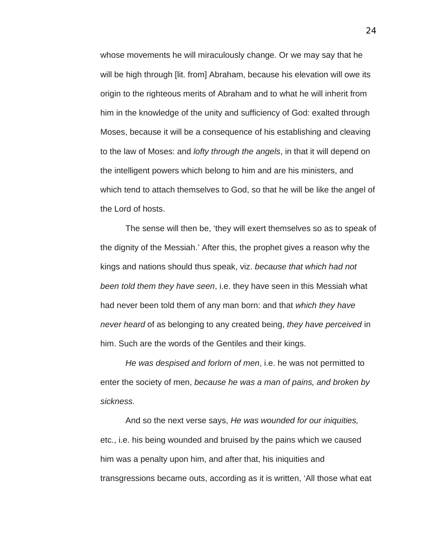whose movements he will miraculously change. Or we may say that he will be high through [lit. from] Abraham, because his elevation will owe its origin to the righteous merits of Abraham and to what he will inherit from him in the knowledge of the unity and sufficiency of God: exalted through Moses, because it will be a consequence of his establishing and cleaving to the law of Moses: and *lofty through the angels*, in that it will depend on the intelligent powers which belong to him and are his ministers, and which tend to attach themselves to God, so that he will be like the angel of the Lord of hosts.

The sense will then be, 'they will exert themselves so as to speak of the dignity of the Messiah.' After this, the prophet gives a reason why the kings and nations should thus speak, viz. *because that which had not been told them they have seen*, i.e. they have seen in this Messiah what had never been told them of any man born: and that *which they have never heard* of as belonging to any created being, *they have perceived* in him. Such are the words of the Gentiles and their kings.

*He was despised and forlorn of men*, i.e. he was not permitted to enter the society of men, *because he was a man of pains, and broken by sickness.* 

And so the next verse says, *He was wounded for our iniquities,*  etc., i.e. his being wounded and bruised by the pains which we caused him was a penalty upon him, and after that, his iniquities and transgressions became outs, according as it is written, 'All those what eat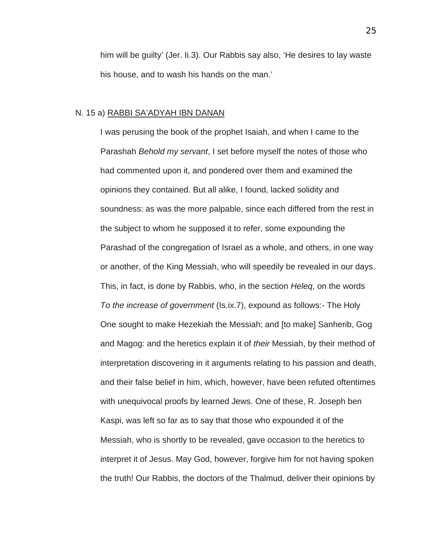him will be guilty' (Jer. Ii.3). Our Rabbis say also, 'He desires to lay waste his house, and to wash his hands on the man.'

# N. 15 a) RABBI SA'ADYAH IBN DANAN

I was perusing the book of the prophet Isaiah, and when I came to the Parashah *Behold my servant*, I set before myself the notes of those who had commented upon it, and pondered over them and examined the opinions they contained. But all alike, I found, lacked solidity and soundness: as was the more palpable, since each differed from the rest in the subject to whom he supposed it to refer, some expounding the Parashad of the congregation of Israel as a whole, and others, in one way or another, of the King Messiah, who will speedily be revealed in our days. This, in fact, is done by Rabbis, who, in the section *Heleq*, on the words *To the increase of government* (Is.ix.7), expound as follows:- The Holy One sought to make Hezekiah the Messiah; and [to make] Sanherib, Gog and Magog: and the heretics explain it of *their* Messiah, by their method of interpretation discovering in it arguments relating to his passion and death, and their false belief in him, which, however, have been refuted oftentimes with unequivocal proofs by learned Jews. One of these, R. Joseph ben Kaspi, was left so far as to say that those who expounded it of the Messiah, who is shortly to be revealed, gave occasion to the heretics to interpret it of Jesus. May God, however, forgive him for not having spoken the truth! Our Rabbis, the doctors of the Thalmud, deliver their opinions by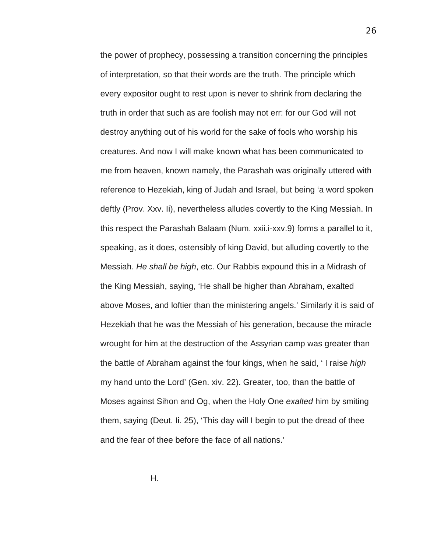the power of prophecy, possessing a transition concerning the principles of interpretation, so that their words are the truth. The principle which every expositor ought to rest upon is never to shrink from declaring the truth in order that such as are foolish may not err: for our God will not destroy anything out of his world for the sake of fools who worship his creatures. And now I will make known what has been communicated to me from heaven, known namely, the Parashah was originally uttered with reference to Hezekiah, king of Judah and Israel, but being 'a word spoken deftly (Prov. Xxv. Ii), nevertheless alludes covertly to the King Messiah. In this respect the Parashah Balaam (Num. xxii.i-xxv.9) forms a parallel to it, speaking, as it does, ostensibly of king David, but alluding covertly to the Messiah. *He shall be high*, etc. Our Rabbis expound this in a Midrash of the King Messiah, saying, 'He shall be higher than Abraham, exalted above Moses, and loftier than the ministering angels.' Similarly it is said of Hezekiah that he was the Messiah of his generation, because the miracle wrought for him at the destruction of the Assyrian camp was greater than the battle of Abraham against the four kings, when he said, ' I raise *high*  my hand unto the Lord' (Gen. xiv. 22). Greater, too, than the battle of Moses against Sihon and Og, when the Holy One *exalted* him by smiting them, saying (Deut. Ii. 25), 'This day will I begin to put the dread of thee and the fear of thee before the face of all nations.'

H.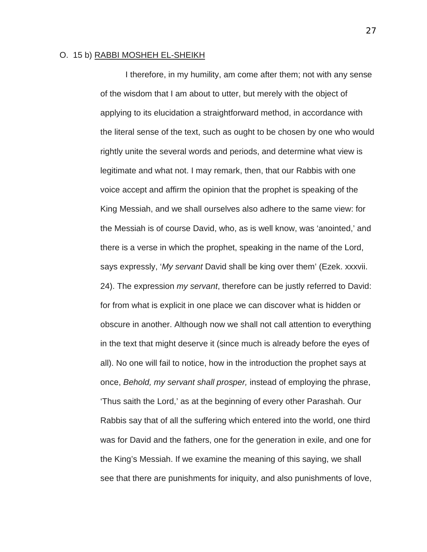## O. 15 b) RABBI MOSHEH EL-SHEIKH

I therefore, in my humility, am come after them; not with any sense of the wisdom that I am about to utter, but merely with the object of applying to its elucidation a straightforward method, in accordance with the literal sense of the text, such as ought to be chosen by one who would rightly unite the several words and periods, and determine what view is legitimate and what not. I may remark, then, that our Rabbis with one voice accept and affirm the opinion that the prophet is speaking of the King Messiah, and we shall ourselves also adhere to the same view: for the Messiah is of course David, who, as is well know, was 'anointed,' and there is a verse in which the prophet, speaking in the name of the Lord, says expressly, '*My servant* David shall be king over them' (Ezek. xxxvii. 24). The expression *my servant*, therefore can be justly referred to David: for from what is explicit in one place we can discover what is hidden or obscure in another. Although now we shall not call attention to everything in the text that might deserve it (since much is already before the eyes of all). No one will fail to notice, how in the introduction the prophet says at once, *Behold, my servant shall prosper,* instead of employing the phrase, 'Thus saith the Lord,' as at the beginning of every other Parashah. Our Rabbis say that of all the suffering which entered into the world, one third was for David and the fathers, one for the generation in exile, and one for the King's Messiah. If we examine the meaning of this saying, we shall see that there are punishments for iniquity, and also punishments of love,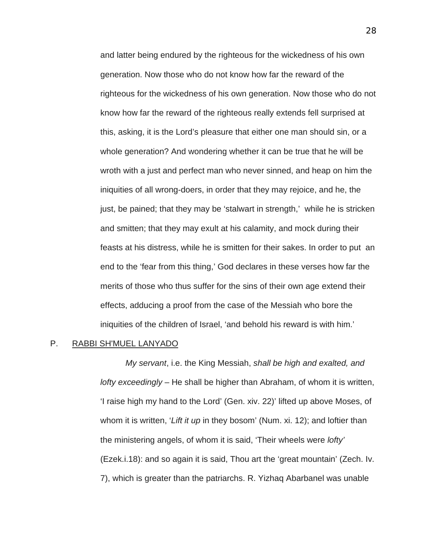and latter being endured by the righteous for the wickedness of his own generation. Now those who do not know how far the reward of the righteous for the wickedness of his own generation. Now those who do not know how far the reward of the righteous really extends fell surprised at this, asking, it is the Lord's pleasure that either one man should sin, or a whole generation? And wondering whether it can be true that he will be wroth with a just and perfect man who never sinned, and heap on him the iniquities of all wrong-doers, in order that they may rejoice, and he, the just, be pained; that they may be 'stalwart in strength,' while he is stricken and smitten; that they may exult at his calamity, and mock during their feasts at his distress, while he is smitten for their sakes. In order to put an end to the 'fear from this thing,' God declares in these verses how far the merits of those who thus suffer for the sins of their own age extend their effects, adducing a proof from the case of the Messiah who bore the iniquities of the children of Israel, 'and behold his reward is with him.'

## P. RABBI SH'MUEL LANYADO

*My servant*, i.e. the King Messiah, *shall be high and exalted, and lofty exceedingly* – He shall be higher than Abraham, of whom it is written, 'I raise high my hand to the Lord' (Gen. xiv. 22)' lifted up above Moses, of whom it is written, '*Lift it up* in they bosom' (Num. xi. 12); and loftier than the ministering angels, of whom it is said, 'Their wheels were *lofty'* (Ezek.i.18): and so again it is said, Thou art the 'great mountain' (Zech. Iv. 7), which is greater than the patriarchs. R. Yizhaq Abarbanel was unable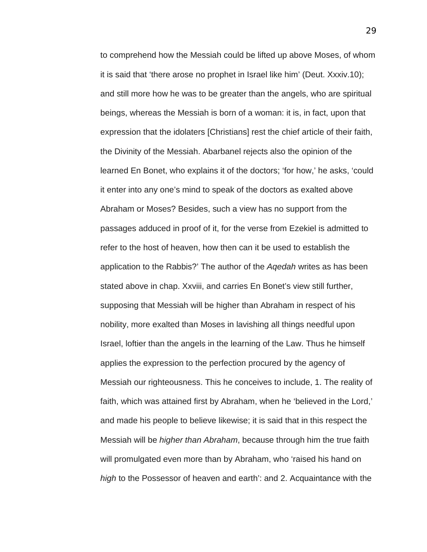to comprehend how the Messiah could be lifted up above Moses, of whom it is said that 'there arose no prophet in Israel like him' (Deut. Xxxiv.10); and still more how he was to be greater than the angels, who are spiritual beings, whereas the Messiah is born of a woman: it is, in fact, upon that expression that the idolaters [Christians] rest the chief article of their faith, the Divinity of the Messiah. Abarbanel rejects also the opinion of the learned En Bonet, who explains it of the doctors; 'for how,' he asks, 'could it enter into any one's mind to speak of the doctors as exalted above Abraham or Moses? Besides, such a view has no support from the passages adduced in proof of it, for the verse from Ezekiel is admitted to refer to the host of heaven, how then can it be used to establish the application to the Rabbis?' The author of the *Aqedah* writes as has been stated above in chap. Xxviii, and carries En Bonet's view still further, supposing that Messiah will be higher than Abraham in respect of his nobility, more exalted than Moses in lavishing all things needful upon Israel, loftier than the angels in the learning of the Law. Thus he himself applies the expression to the perfection procured by the agency of Messiah our righteousness. This he conceives to include, 1. The reality of faith, which was attained first by Abraham, when he 'believed in the Lord,' and made his people to believe likewise; it is said that in this respect the Messiah will be *higher than Abraham*, because through him the true faith will promulgated even more than by Abraham, who 'raised his hand on *high* to the Possessor of heaven and earth': and 2. Acquaintance with the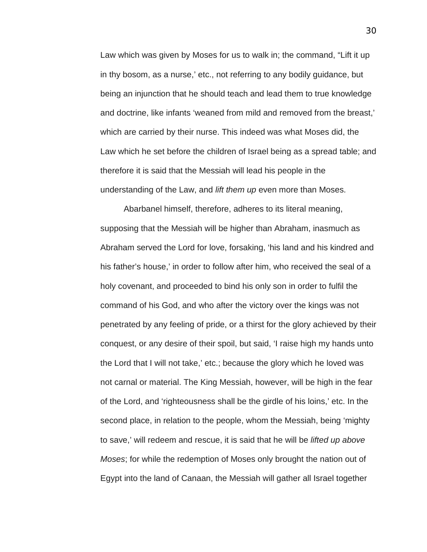Law which was given by Moses for us to walk in; the command, "Lift it up in thy bosom, as a nurse,' etc., not referring to any bodily guidance, but being an injunction that he should teach and lead them to true knowledge and doctrine, like infants 'weaned from mild and removed from the breast,' which are carried by their nurse. This indeed was what Moses did, the Law which he set before the children of Israel being as a spread table; and therefore it is said that the Messiah will lead his people in the understanding of the Law, and *lift them up* even more than Moses.

Abarbanel himself, therefore, adheres to its literal meaning, supposing that the Messiah will be higher than Abraham, inasmuch as Abraham served the Lord for love, forsaking, 'his land and his kindred and his father's house,' in order to follow after him, who received the seal of a holy covenant, and proceeded to bind his only son in order to fulfil the command of his God, and who after the victory over the kings was not penetrated by any feeling of pride, or a thirst for the glory achieved by their conquest, or any desire of their spoil, but said, 'I raise high my hands unto the Lord that I will not take,' etc.; because the glory which he loved was not carnal or material. The King Messiah, however, will be high in the fear of the Lord, and 'righteousness shall be the girdle of his loins,' etc. In the second place, in relation to the people, whom the Messiah, being 'mighty to save,' will redeem and rescue, it is said that he will be *lifted up above Moses*; for while the redemption of Moses only brought the nation out of Egypt into the land of Canaan, the Messiah will gather all Israel together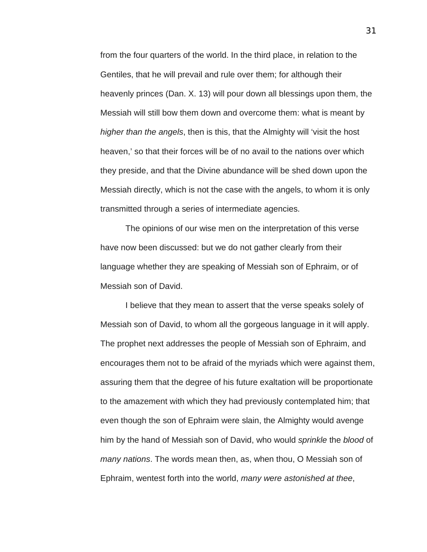from the four quarters of the world. In the third place, in relation to the Gentiles, that he will prevail and rule over them; for although their heavenly princes (Dan. X. 13) will pour down all blessings upon them, the Messiah will still bow them down and overcome them: what is meant by *higher than the angels*, then is this, that the Almighty will 'visit the host heaven,' so that their forces will be of no avail to the nations over which they preside, and that the Divine abundance will be shed down upon the Messiah directly, which is not the case with the angels, to whom it is only transmitted through a series of intermediate agencies.

The opinions of our wise men on the interpretation of this verse have now been discussed: but we do not gather clearly from their language whether they are speaking of Messiah son of Ephraim, or of Messiah son of David.

I believe that they mean to assert that the verse speaks solely of Messiah son of David, to whom all the gorgeous language in it will apply. The prophet next addresses the people of Messiah son of Ephraim, and encourages them not to be afraid of the myriads which were against them, assuring them that the degree of his future exaltation will be proportionate to the amazement with which they had previously contemplated him; that even though the son of Ephraim were slain, the Almighty would avenge him by the hand of Messiah son of David, who would *sprinkle* the *blood* of *many nations*. The words mean then, as, when thou, O Messiah son of Ephraim, wentest forth into the world, *many were astonished at thee*,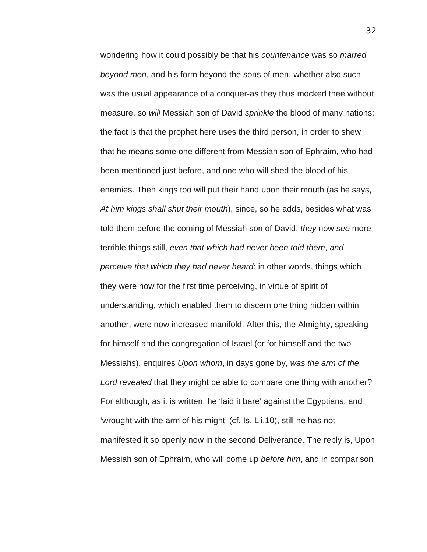wondering how it could possibly be that his *countenance* was so *marred beyond men*, and his form beyond the sons of men, whether also such was the usual appearance of a conquer-as they thus mocked thee without measure, so *will* Messiah son of David *sprinkle* the blood of many nations: the fact is that the prophet here uses the third person, in order to shew that he means some one different from Messiah son of Ephraim, who had been mentioned just before, and one who will shed the blood of his enemies. Then kings too will put their hand upon their mouth (as he says, *At him kings shall shut their mouth*), since, so he adds, besides what was told them before the coming of Messiah son of David, *they* now *see* more terrible things still, *even that which had never been told them*, *and perceive that which they had never heard*: in other words, things which they were now for the first time perceiving, in virtue of spirit of understanding, which enabled them to discern one thing hidden within another, were now increased manifold. After this, the Almighty, speaking for himself and the congregation of Israel (or for himself and the two Messiahs), enquires *Upon whom*, in days gone by, *was the arm of the Lord revealed* that they might be able to compare one thing with another? For although, as it is written, he 'laid it bare' against the Egyptians, and 'wrought with the arm of his might' (cf. Is. Lii.10), still he has not manifested it so openly now in the second Deliverance. The reply is, Upon Messiah son of Ephraim, who will come up *before him*, and in comparison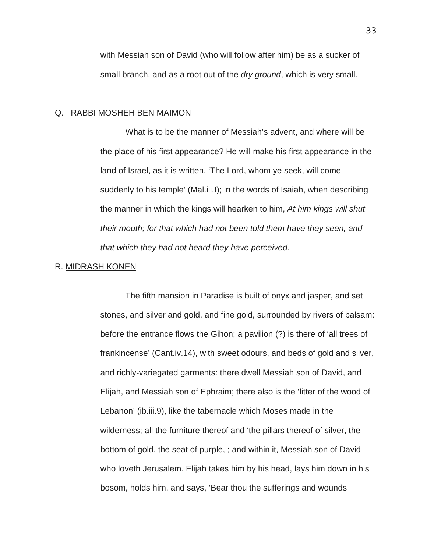with Messiah son of David (who will follow after him) be as a sucker of small branch, and as a root out of the *dry ground*, which is very small.

## Q. RABBI MOSHEH BEN MAIMON

What is to be the manner of Messiah's advent, and where will be the place of his first appearance? He will make his first appearance in the land of Israel, as it is written, 'The Lord, whom ye seek, will come suddenly to his temple' (Mal.iii.I); in the words of Isaiah, when describing the manner in which the kings will hearken to him, *At him kings will shut their mouth; for that which had not been told them have they seen, and that which they had not heard they have perceived.* 

#### R. MIDRASH KONEN

The fifth mansion in Paradise is built of onyx and jasper, and set stones, and silver and gold, and fine gold, surrounded by rivers of balsam: before the entrance flows the Gihon; a pavilion (?) is there of 'all trees of frankincense' (Cant.iv.14), with sweet odours, and beds of gold and silver, and richly-variegated garments: there dwell Messiah son of David, and Elijah, and Messiah son of Ephraim; there also is the 'litter of the wood of Lebanon' (ib.iii.9), like the tabernacle which Moses made in the wilderness; all the furniture thereof and 'the pillars thereof of silver, the bottom of gold, the seat of purple, ; and within it, Messiah son of David who loveth Jerusalem. Elijah takes him by his head, lays him down in his bosom, holds him, and says, 'Bear thou the sufferings and wounds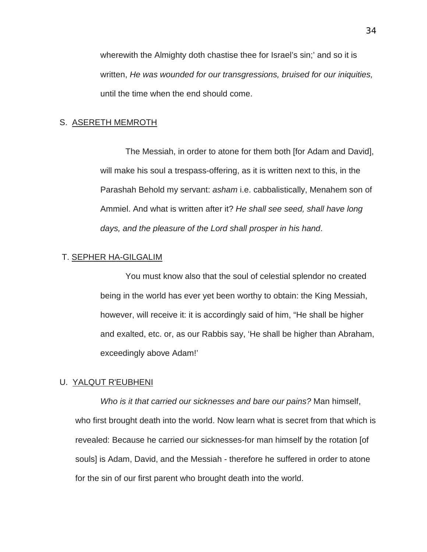wherewith the Almighty doth chastise thee for Israel's sin;' and so it is written, *He was wounded for our transgressions, bruised for our iniquities,* until the time when the end should come.

# S. ASERETH MEMROTH

The Messiah, in order to atone for them both [for Adam and David], will make his soul a trespass-offering, as it is written next to this, in the Parashah Behold my servant: *asham* i.e. cabbalistically, Menahem son of Ammiel. And what is written after it? *He shall see seed, shall have long days, and the pleasure of the Lord shall prosper in his hand*.

# T. SEPHER HA-GILGALIM

You must know also that the soul of celestial splendor no created being in the world has ever yet been worthy to obtain: the King Messiah, however, will receive it: it is accordingly said of him, "He shall be higher and exalted, etc. or, as our Rabbis say, 'He shall be higher than Abraham, exceedingly above Adam!'

# U. YALQUT R'EUBHENI

*Who is it that carried our sicknesses and bare our pains?* Man himself, who first brought death into the world. Now learn what is secret from that which is revealed: Because he carried our sicknesses-for man himself by the rotation [of souls] is Adam, David, and the Messiah - therefore he suffered in order to atone for the sin of our first parent who brought death into the world.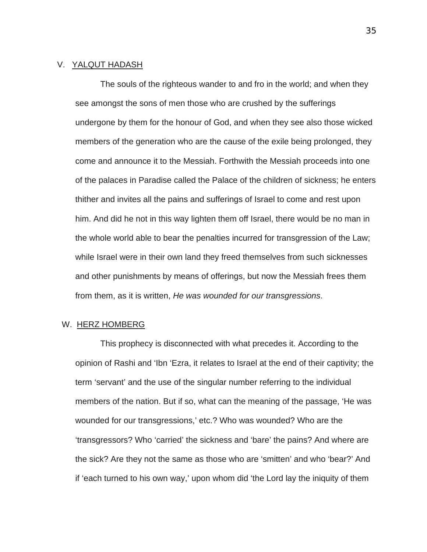# V. YALQUT HADASH

The souls of the righteous wander to and fro in the world; and when they see amongst the sons of men those who are crushed by the sufferings undergone by them for the honour of God, and when they see also those wicked members of the generation who are the cause of the exile being prolonged, they come and announce it to the Messiah. Forthwith the Messiah proceeds into one of the palaces in Paradise called the Palace of the children of sickness; he enters thither and invites all the pains and sufferings of Israel to come and rest upon him. And did he not in this way lighten them off Israel, there would be no man in the whole world able to bear the penalties incurred for transgression of the Law; while Israel were in their own land they freed themselves from such sicknesses and other punishments by means of offerings, but now the Messiah frees them from them, as it is written, *He was wounded for our transgressions*.

## W. HERZ HOMBERG

This prophecy is disconnected with what precedes it. According to the opinion of Rashi and 'Ibn 'Ezra, it relates to Israel at the end of their captivity; the term 'servant' and the use of the singular number referring to the individual members of the nation. But if so, what can the meaning of the passage, 'He was wounded for our transgressions,' etc.? Who was wounded? Who are the 'transgressors? Who 'carried' the sickness and 'bare' the pains? And where are the sick? Are they not the same as those who are 'smitten' and who 'bear?' And if 'each turned to his own way,' upon whom did 'the Lord lay the iniquity of them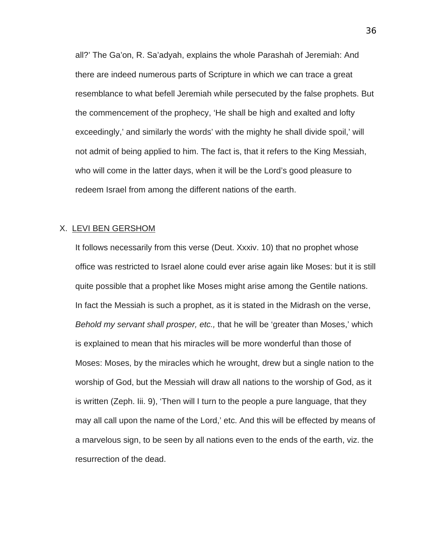all?' The Ga'on, R. Sa'adyah, explains the whole Parashah of Jeremiah: And there are indeed numerous parts of Scripture in which we can trace a great resemblance to what befell Jeremiah while persecuted by the false prophets. But the commencement of the prophecy, 'He shall be high and exalted and lofty exceedingly,' and similarly the words' with the mighty he shall divide spoil,' will not admit of being applied to him. The fact is, that it refers to the King Messiah, who will come in the latter days, when it will be the Lord's good pleasure to redeem Israel from among the different nations of the earth.

#### X. LEVI BEN GERSHOM

It follows necessarily from this verse (Deut. Xxxiv. 10) that no prophet whose office was restricted to Israel alone could ever arise again like Moses: but it is still quite possible that a prophet like Moses might arise among the Gentile nations. In fact the Messiah is such a prophet, as it is stated in the Midrash on the verse, *Behold my servant shall prosper, etc.,* that he will be 'greater than Moses,' which is explained to mean that his miracles will be more wonderful than those of Moses: Moses, by the miracles which he wrought, drew but a single nation to the worship of God, but the Messiah will draw all nations to the worship of God, as it is written (Zeph. Iii. 9), 'Then will I turn to the people a pure language, that they may all call upon the name of the Lord,' etc. And this will be effected by means of a marvelous sign, to be seen by all nations even to the ends of the earth, viz. the resurrection of the dead.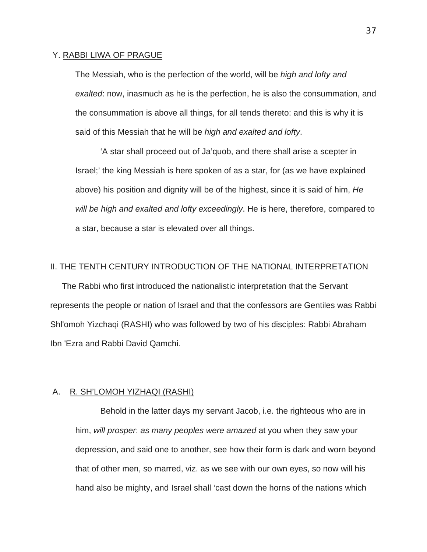### Y. RABBI LIWA OF PRAGUE

The Messiah, who is the perfection of the world, will be *high and lofty and exalted*: now, inasmuch as he is the perfection, he is also the consummation, and the consummation is above all things, for all tends thereto: and this is why it is said of this Messiah that he will be *high and exalted and lofty*.

'A star shall proceed out of Ja'quob, and there shall arise a scepter in Israel;' the king Messiah is here spoken of as a star, for (as we have explained above) his position and dignity will be of the highest, since it is said of him, *He will be high and exalted and lofty exceedingly*. He is here, therefore, compared to a star, because a star is elevated over all things.

# II. THE TENTH CENTURY INTRODUCTION OF THE NATIONAL INTERPRETATION

The Rabbi who first introduced the nationalistic interpretation that the Servant represents the people or nation of Israel and that the confessors are Gentiles was Rabbi Shl'omoh Yizchaqi (RASHI) who was followed by two of his disciples: Rabbi Abraham Ibn 'Ezra and Rabbi David Qamchi.

# A. R. SH'LOMOH YIZHAQI (RASHI)

Behold in the latter days my servant Jacob, i.e. the righteous who are in him, *will prosper*: *as many peoples were amazed* at you when they saw your depression, and said one to another, see how their form is dark and worn beyond that of other men, so marred, viz. as we see with our own eyes, so now will his hand also be mighty, and Israel shall 'cast down the horns of the nations which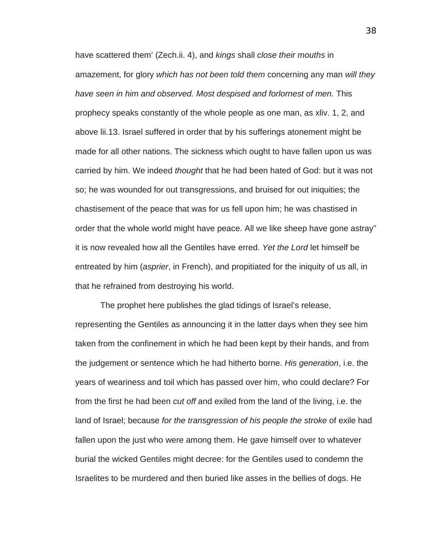have scattered them' (Zech.ii. 4), and *kings* shall *close their mouths* in amazement, for glory *which has not been told them* concerning any man *will they have seen in him and observed. Most despised and forlornest of men.* This prophecy speaks constantly of the whole people as one man, as xliv. 1, 2, and above lii.13. Israel suffered in order that by his sufferings atonement might be made for all other nations. The sickness which ought to have fallen upon us was carried by him. We indeed *thought* that he had been hated of God: but it was not so; he was wounded for out transgressions, and bruised for out iniquities; the chastisement of the peace that was for us fell upon him; he was chastised in order that the whole world might have peace. All we like sheep have gone astray" it is now revealed how all the Gentiles have erred. *Yet the Lord* let himself be entreated by him (*asprier*, in French), and propitiated for the iniquity of us all, in that he refrained from destroying his world.

The prophet here publishes the glad tidings of Israel's release, representing the Gentiles as announcing it in the latter days when they see him taken from the confinement in which he had been kept by their hands, and from the judgement or sentence which he had hitherto borne. *His generation*, i.e. the years of weariness and toil which has passed over him, who could declare? For from the first he had been *cut off* and exiled from the land of the living, i.e. the land of Israel; because *for the transgression of his people the stroke* of exile had fallen upon the just who were among them. He gave himself over to whatever burial the wicked Gentiles might decree: for the Gentiles used to condemn the Israelites to be murdered and then buried like asses in the bellies of dogs. He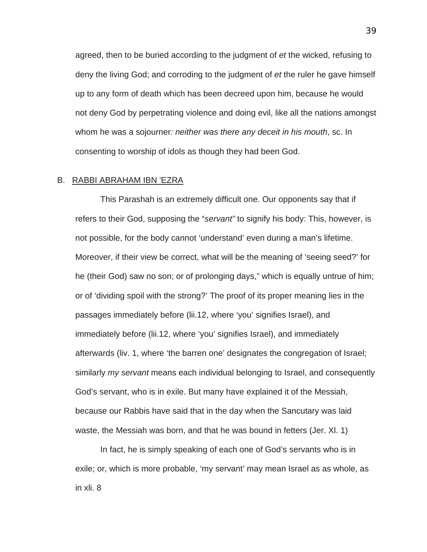agreed, then to be buried according to the judgment of *et* the wicked, refusing to deny the living God; and corroding to the judgment of *et* the ruler he gave himself up to any form of death which has been decreed upon him, because he would not deny God by perpetrating violence and doing evil, like all the nations amongst whom he was a sojourner*: neither was there any deceit in his mouth*, sc. In consenting to worship of idols as though they had been God.

## B. RABBI ABRAHAM IBN 'EZRA

This Parashah is an extremely difficult one. Our opponents say that if refers to their God, supposing the "*servant"* to signify his body: This, however, is not possible, for the body cannot 'understand' even during a man's lifetime. Moreover, if their view be correct, what will be the meaning of 'seeing seed?' for he (their God) saw no son; or of prolonging days," which is equally untrue of him; or of 'dividing spoil with the strong?' The proof of its proper meaning lies in the passages immediately before (lii.12, where 'you' signifies Israel), and immediately before (lii.12, where 'you' signifies Israel), and immediately afterwards (liv. 1, where 'the barren one' designates the congregation of Israel; similarly *my servant* means each individual belonging to Israel, and consequently God's servant, who is in exile. But many have explained it of the Messiah, because our Rabbis have said that in the day when the Sancutary was laid waste, the Messiah was born, and that he was bound in fetters (Jer. Xl. 1)

In fact, he is simply speaking of each one of God's servants who is in exile; or, which is more probable, 'my servant' may mean Israel as as whole, as in xli. 8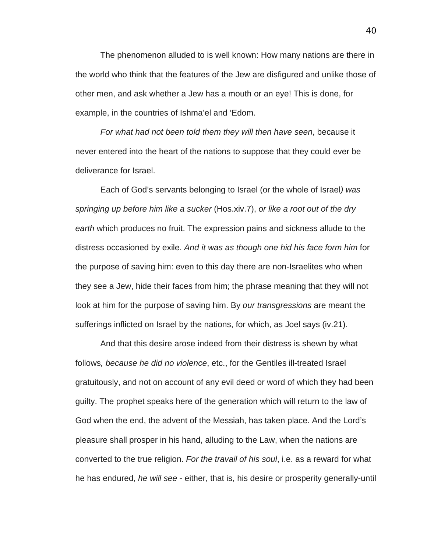The phenomenon alluded to is well known: How many nations are there in the world who think that the features of the Jew are disfigured and unlike those of other men, and ask whether a Jew has a mouth or an eye! This is done, for example, in the countries of Ishma'el and 'Edom.

*For what had not been told them they will then have seen*, because it never entered into the heart of the nations to suppose that they could ever be deliverance for Israel.

Each of God's servants belonging to Israel (or the whole of Israel*) was springing up before him like a sucker* (Hos.xiv.7), *or like a root out of the dry earth* which produces no fruit. The expression pains and sickness allude to the distress occasioned by exile. *And it was as though one hid his face form him* for the purpose of saving him: even to this day there are non-Israelites who when they see a Jew, hide their faces from him; the phrase meaning that they will not look at him for the purpose of saving him. By *our transgressions* are meant the sufferings inflicted on Israel by the nations, for which, as Joel says (iv.21).

And that this desire arose indeed from their distress is shewn by what follows*, because he did no violence*, etc., for the Gentiles ill-treated Israel gratuitously, and not on account of any evil deed or word of which they had been guilty. The prophet speaks here of the generation which will return to the law of God when the end, the advent of the Messiah, has taken place. And the Lord's pleasure shall prosper in his hand, alluding to the Law, when the nations are converted to the true religion. *For the travail of his soul*, i.e. as a reward for what he has endured, *he will see* - either, that is, his desire or prosperity generally-until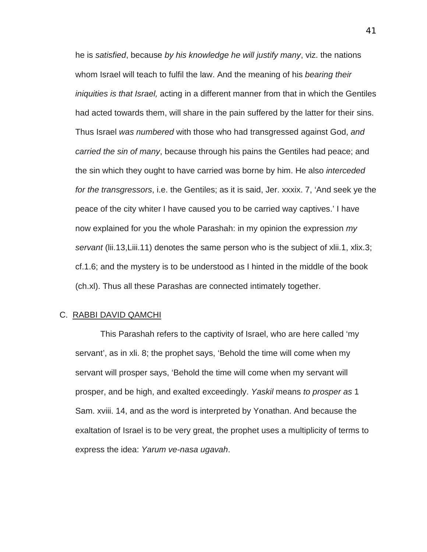he is *satisfied*, because *by his knowledge he will justify many*, viz. the nations whom Israel will teach to fulfil the law. And the meaning of his *bearing their iniquities is that Israel,* acting in a different manner from that in which the Gentiles had acted towards them, will share in the pain suffered by the latter for their sins. Thus Israel *was numbered* with those who had transgressed against God, *and carried the sin of many*, because through his pains the Gentiles had peace; and the sin which they ought to have carried was borne by him. He also *interceded for the transgressors*, i.e. the Gentiles; as it is said, Jer. xxxix. 7, 'And seek ye the peace of the city whiter I have caused you to be carried way captives.' I have now explained for you the whole Parashah: in my opinion the expression *my servant* (lii.13,Liii.11) denotes the same person who is the subject of xlii.1, xlix.3; cf.1.6; and the mystery is to be understood as I hinted in the middle of the book (ch.xl). Thus all these Parashas are connected intimately together.

## C. RABBI DAVID QAMCHI

This Parashah refers to the captivity of Israel, who are here called 'my servant', as in xli. 8; the prophet says, 'Behold the time will come when my servant will prosper says, 'Behold the time will come when my servant will prosper, and be high, and exalted exceedingly. *Yaskil* means *to prosper as* 1 Sam. xviii. 14, and as the word is interpreted by Yonathan. And because the exaltation of Israel is to be very great, the prophet uses a multiplicity of terms to express the idea: *Yarum ve-nasa ugavah*.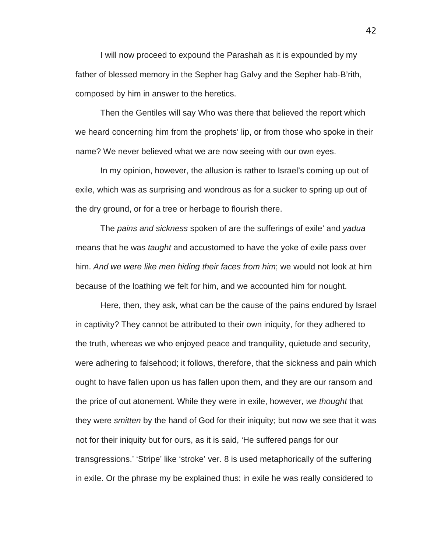I will now proceed to expound the Parashah as it is expounded by my father of blessed memory in the Sepher hag Galvy and the Sepher hab-B'rith, composed by him in answer to the heretics.

Then the Gentiles will say Who was there that believed the report which we heard concerning him from the prophets' lip, or from those who spoke in their name? We never believed what we are now seeing with our own eyes.

In my opinion, however, the allusion is rather to Israel's coming up out of exile, which was as surprising and wondrous as for a sucker to spring up out of the dry ground, or for a tree or herbage to flourish there.

The *pains and sickness* spoken of are the sufferings of exile' and *yadua* means that he was *taught* and accustomed to have the yoke of exile pass over him. *And we were like men hiding their faces from him*; we would not look at him because of the loathing we felt for him, and we accounted him for nought.

Here, then, they ask, what can be the cause of the pains endured by Israel in captivity? They cannot be attributed to their own iniquity, for they adhered to the truth, whereas we who enjoyed peace and tranquility, quietude and security, were adhering to falsehood; it follows, therefore, that the sickness and pain which ought to have fallen upon us has fallen upon them, and they are our ransom and the price of out atonement. While they were in exile, however, *we thought* that they were *smitten* by the hand of God for their iniquity; but now we see that it was not for their iniquity but for ours, as it is said, 'He suffered pangs for our transgressions.' 'Stripe' like 'stroke' ver. 8 is used metaphorically of the suffering in exile. Or the phrase my be explained thus: in exile he was really considered to

42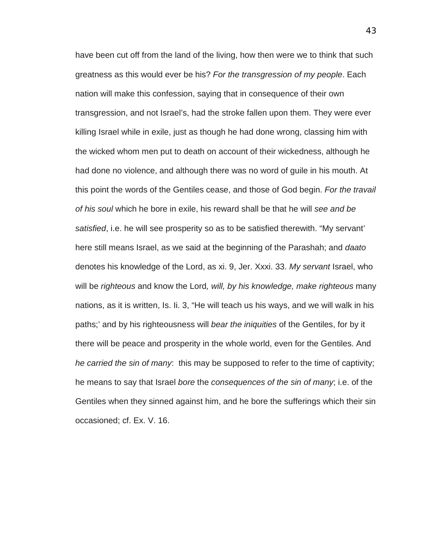have been cut off from the land of the living, how then were we to think that such greatness as this would ever be his? *For the transgression of my people*. Each nation will make this confession, saying that in consequence of their own transgression, and not Israel's, had the stroke fallen upon them. They were ever killing Israel while in exile, just as though he had done wrong, classing him with the wicked whom men put to death on account of their wickedness, although he had done no violence, and although there was no word of guile in his mouth. At this point the words of the Gentiles cease, and those of God begin. *For the travail of his soul* which he bore in exile, his reward shall be that he will *see and be satisfied*, i.e. he will see prosperity so as to be satisfied therewith. "My servant' here still means Israel, as we said at the beginning of the Parashah; and *daato* denotes his knowledge of the Lord, as xi. 9, Jer. Xxxi. 33. *My servant* Israel, who will be *righteous* and know the Lord*, will, by his knowledge, make righteous* many nations, as it is written, Is. Ii. 3, "He will teach us his ways, and we will walk in his paths;' and by his righteousness will *bear the iniquities* of the Gentiles, for by it there will be peace and prosperity in the whole world, even for the Gentiles. And *he carried the sin of many*: this may be supposed to refer to the time of captivity; he means to say that Israel *bore* the *consequences of the sin of many*; i.e. of the Gentiles when they sinned against him, and he bore the sufferings which their sin occasioned; cf. Ex. V. 16.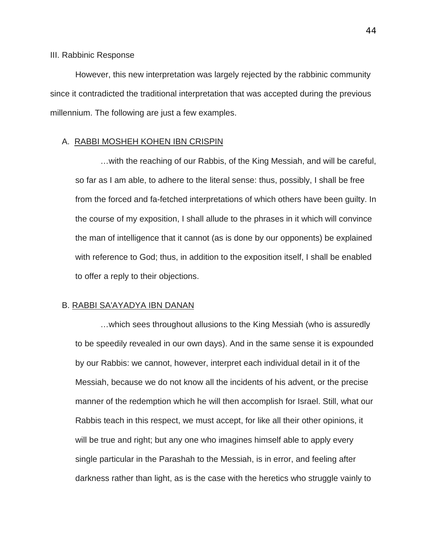#### III. Rabbinic Response

However, this new interpretation was largely rejected by the rabbinic community since it contradicted the traditional interpretation that was accepted during the previous millennium. The following are just a few examples.

## A. RABBI MOSHEH KOHEN IBN CRISPIN

…with the reaching of our Rabbis, of the King Messiah, and will be careful, so far as I am able, to adhere to the literal sense: thus, possibly, I shall be free from the forced and fa-fetched interpretations of which others have been guilty. In the course of my exposition, I shall allude to the phrases in it which will convince the man of intelligence that it cannot (as is done by our opponents) be explained with reference to God; thus, in addition to the exposition itself, I shall be enabled to offer a reply to their objections.

#### B. RABBI SA'AYADYA IBN DANAN

…which sees throughout allusions to the King Messiah (who is assuredly to be speedily revealed in our own days). And in the same sense it is expounded by our Rabbis: we cannot, however, interpret each individual detail in it of the Messiah, because we do not know all the incidents of his advent, or the precise manner of the redemption which he will then accomplish for Israel. Still, what our Rabbis teach in this respect, we must accept, for like all their other opinions, it will be true and right; but any one who imagines himself able to apply every single particular in the Parashah to the Messiah, is in error, and feeling after darkness rather than light, as is the case with the heretics who struggle vainly to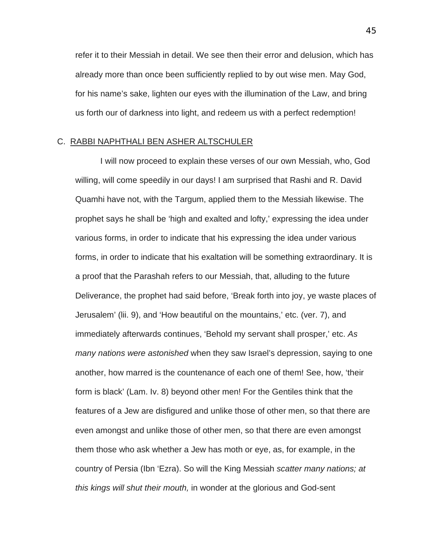refer it to their Messiah in detail. We see then their error and delusion, which has already more than once been sufficiently replied to by out wise men. May God, for his name's sake, lighten our eyes with the illumination of the Law, and bring us forth our of darkness into light, and redeem us with a perfect redemption!

# C. RABBI NAPHTHALI BEN ASHER ALTSCHULER

I will now proceed to explain these verses of our own Messiah, who, God willing, will come speedily in our days! I am surprised that Rashi and R. David Quamhi have not, with the Targum, applied them to the Messiah likewise. The prophet says he shall be 'high and exalted and lofty,' expressing the idea under various forms, in order to indicate that his expressing the idea under various forms, in order to indicate that his exaltation will be something extraordinary. It is a proof that the Parashah refers to our Messiah, that, alluding to the future Deliverance, the prophet had said before, 'Break forth into joy, ye waste places of Jerusalem' (lii. 9), and 'How beautiful on the mountains,' etc. (ver. 7), and immediately afterwards continues, 'Behold my servant shall prosper,' etc. *As many nations were astonished* when they saw Israel's depression, saying to one another, how marred is the countenance of each one of them! See, how, 'their form is black' (Lam. Iv. 8) beyond other men! For the Gentiles think that the features of a Jew are disfigured and unlike those of other men, so that there are even amongst and unlike those of other men, so that there are even amongst them those who ask whether a Jew has moth or eye, as, for example, in the country of Persia (Ibn 'Ezra). So will the King Messiah *scatter many nations; at this kings will shut their mouth,* in wonder at the glorious and God-sent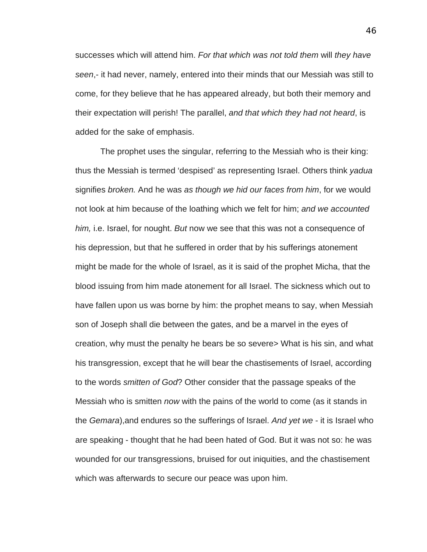successes which will attend him. *For that which was not told them* will *they have seen*,- it had never, namely, entered into their minds that our Messiah was still to come, for they believe that he has appeared already, but both their memory and their expectation will perish! The parallel, *and that which they had not heard*, is added for the sake of emphasis.

The prophet uses the singular, referring to the Messiah who is their king: thus the Messiah is termed 'despised' as representing Israel. Others think *yadua* signifies *broken.* And he was *as though we hid our faces from him*, for we would not look at him because of the loathing which we felt for him; *and we accounted him,* i.e. Israel, for nought. *But* now we see that this was not a consequence of his depression, but that he suffered in order that by his sufferings atonement might be made for the whole of Israel, as it is said of the prophet Micha, that the blood issuing from him made atonement for all Israel. The sickness which out to have fallen upon us was borne by him: the prophet means to say, when Messiah son of Joseph shall die between the gates, and be a marvel in the eyes of creation, why must the penalty he bears be so severe> What is his sin, and what his transgression, except that he will bear the chastisements of Israel, according to the words *smitten of God*? Other consider that the passage speaks of the Messiah who is smitten *now* with the pains of the world to come (as it stands in the *Gemara*),and endures so the sufferings of Israel. *And yet we* - it is Israel who are speaking - thought that he had been hated of God. But it was not so: he was wounded for our transgressions, bruised for out iniquities, and the chastisement which was afterwards to secure our peace was upon him.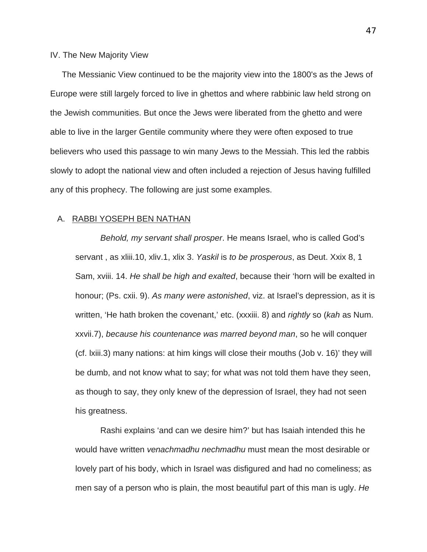## IV. The New Majority View

The Messianic View continued to be the majority view into the 1800's as the Jews of Europe were still largely forced to live in ghettos and where rabbinic law held strong on the Jewish communities. But once the Jews were liberated from the ghetto and were able to live in the larger Gentile community where they were often exposed to true believers who used this passage to win many Jews to the Messiah. This led the rabbis slowly to adopt the national view and often included a rejection of Jesus having fulfilled any of this prophecy. The following are just some examples.

# A. RABBI YOSEPH BEN NATHAN

*Behold, my servant shall prosper*. He means Israel, who is called God's servant , as xliii.10, xliv.1, xlix 3. *Yaskil* is *to be prosperous*, as Deut. Xxix 8, 1 Sam, xviii. 14. *He shall be high and exalted*, because their 'horn will be exalted in honour; (Ps. cxii. 9). *As many were astonished*, viz. at Israel's depression, as it is written, 'He hath broken the covenant,' etc. (xxxiii. 8) and *rightly* so (*kah* as Num. xxvii.7), *because his countenance was marred beyond man*, so he will conquer (cf. lxiii.3) many nations: at him kings will close their mouths (Job v. 16)' they will be dumb, and not know what to say; for what was not told them have they seen, as though to say, they only knew of the depression of Israel, they had not seen his greatness.

Rashi explains 'and can we desire him?' but has Isaiah intended this he would have written *venachmadhu nechmadhu* must mean the most desirable or lovely part of his body, which in Israel was disfigured and had no comeliness; as men say of a person who is plain, the most beautiful part of this man is ugly. *He*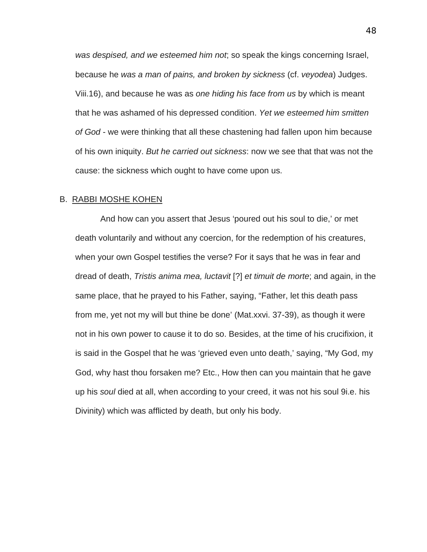*was despised, and we esteemed him not*; so speak the kings concerning Israel, because he *was a man of pains, and broken by sickness* (cf. *veyodea*) Judges. Viii.16), and because he was as *one hiding his face from us* by which is meant that he was ashamed of his depressed condition. *Yet we esteemed him smitten of God* - we were thinking that all these chastening had fallen upon him because of his own iniquity. *But he carried out sickness*: now we see that that was not the cause: the sickness which ought to have come upon us.

#### B. RABBI MOSHE KOHEN

And how can you assert that Jesus 'poured out his soul to die,' or met death voluntarily and without any coercion, for the redemption of his creatures, when your own Gospel testifies the verse? For it says that he was in fear and dread of death, *Tristis anima mea, luctavit* [?] *et timuit de morte*; and again, in the same place, that he prayed to his Father, saying, "Father, let this death pass from me, yet not my will but thine be done' (Mat.xxvi. 37-39), as though it were not in his own power to cause it to do so. Besides, at the time of his crucifixion, it is said in the Gospel that he was 'grieved even unto death,' saying, "My God, my God, why hast thou forsaken me? Etc., How then can you maintain that he gave up his *soul* died at all, when according to your creed, it was not his soul 9i.e. his Divinity) which was afflicted by death, but only his body.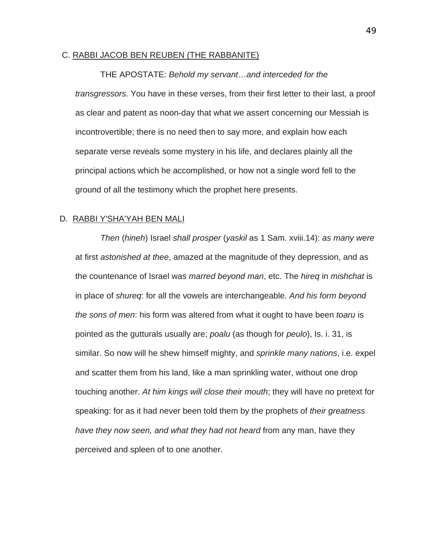### C. RABBI JACOB BEN REUBEN (THE RABBANITE)

#### THE APOSTATE: *Behold my servant*…*and interceded for the*

*transgressors.* You have in these verses, from their first letter to their last, a proof as clear and patent as noon-day that what we assert concerning our Messiah is incontrovertible; there is no need then to say more, and explain how each separate verse reveals some mystery in his life, and declares plainly all the principal actions which he accomplished, or how not a single word fell to the ground of all the testimony which the prophet here presents.

# D. RABBI Y'SHA'YAH BEN MALI

*Then* (*hineh*) Israel *shall prosper* (*yaskil* as 1 Sam. xviii.14): *as many were* at first *astonished at thee*, amazed at the magnitude of they depression, and as the countenance of Israel was *marred beyond man*, etc. The *hireq* in *mishchat* is in place of *shureq*: for all the vowels are interchangeable*. And his form beyond the sons of men*: his form was altered from what it ought to have been *toaru* is pointed as the gutturals usually are; *poalu* (as though for *peulo*), Is. i. 31, is similar. So now will he shew himself mighty, and *sprinkle many nations*, i.e. expel and scatter them from his land, like a man sprinkling water, without one drop touching another. *At him kings will close their mouth*; they will have no pretext for speaking: for as it had never been told them by the prophets of *their greatness have they now seen, and what they had not heard* from any man, have they perceived and spleen of to one another.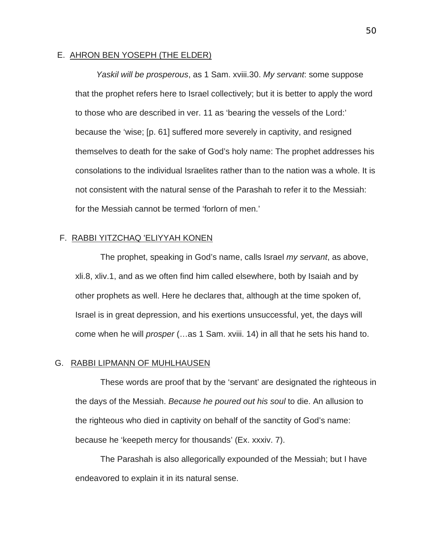### E. AHRON BEN YOSEPH (THE ELDER)

*Yaskil will be prosperous*, as 1 Sam. xviii.30. *My servant*: some suppose that the prophet refers here to Israel collectively; but it is better to apply the word to those who are described in ver. 11 as 'bearing the vessels of the Lord:' because the 'wise; [p. 61] suffered more severely in captivity, and resigned themselves to death for the sake of God's holy name: The prophet addresses his consolations to the individual Israelites rather than to the nation was a whole. It is not consistent with the natural sense of the Parashah to refer it to the Messiah: for the Messiah cannot be termed 'forlorn of men.'

# F. RABBI YITZCHAQ 'ELIYYAH KONEN

The prophet, speaking in God's name, calls Israel *my servant*, as above, xli.8, xliv.1, and as we often find him called elsewhere, both by Isaiah and by other prophets as well. Here he declares that, although at the time spoken of, Israel is in great depression, and his exertions unsuccessful, yet, the days will come when he will *prosper* (…as 1 Sam. xviii. 14) in all that he sets his hand to.

# G. RABBI LIPMANN OF MUHLHAUSEN

These words are proof that by the 'servant' are designated the righteous in the days of the Messiah. *Because he poured out his soul* to die. An allusion to the righteous who died in captivity on behalf of the sanctity of God's name: because he 'keepeth mercy for thousands' (Ex. xxxiv. 7).

The Parashah is also allegorically expounded of the Messiah; but I have endeavored to explain it in its natural sense.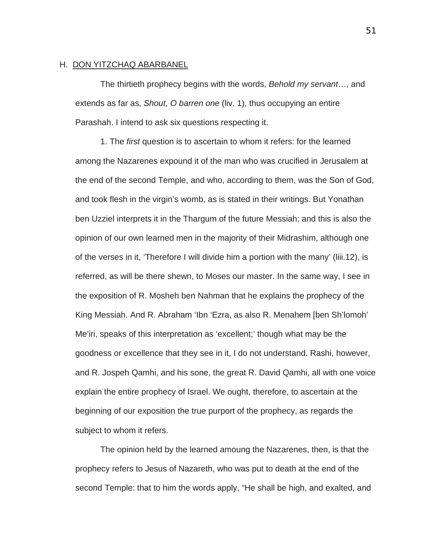# H. DON YITZCHAQ ABARBANEL

The thirtieth prophecy begins with the words, *Behold my servant*…, and extends as far as, *Shout, O barren one* (liv. 1), thus occupying an entire Parashah. I intend to ask six questions respecting it.

1. The *first* question is to ascertain to whom it refers: for the learned among the Nazarenes expound it of the man who was crucified in Jerusalem at the end of the second Temple, and who, according to them, was the Son of God, and took flesh in the virgin's womb, as is stated in their writings. But Yonathan ben Uzziel interprets it in the Thargum of the future Messiah; and this is also the opinion of our own learned men in the majority of their Midrashim, although one of the verses in it, 'Therefore I will divide him a portion with the many' (liii.12), is referred, as will be there shewn, to Moses our master. In the same way, I see in the exposition of R. Mosheh ben Nahman that he explains the prophecy of the King Messiah. And R. Abraham 'Ibn 'Ezra, as also R. Menahem [ben Sh'lomoh' Me'iri, speaks of this interpretation as 'excellent;' though what may be the goodness or excellence that they see in it, I do not understand. Rashi, however, and R. Jospeh Qamhi, and his sone, the great R. David Qamhi, all with one voice explain the entire prophecy of Israel. We ought, therefore, to ascertain at the beginning of our exposition the true purport of the prophecy, as regards the subject to whom it refers.

The opinion held by the learned amoung the Nazarenes, then, is that the prophecy refers to Jesus of Nazareth, who was put to death at the end of the second Temple: that to him the words apply, "He shall be high, and exalted, and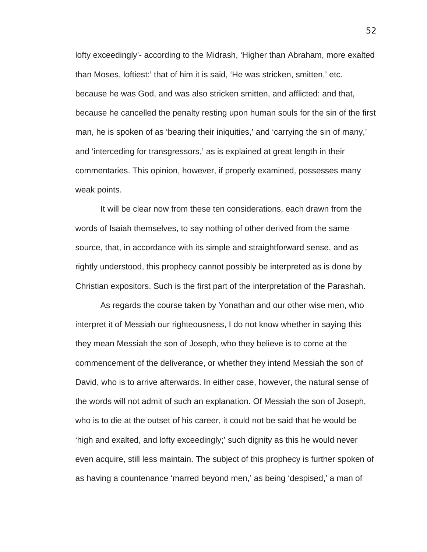lofty exceedingly'- according to the Midrash, 'Higher than Abraham, more exalted than Moses, loftiest:' that of him it is said, 'He was stricken, smitten,' etc. because he was God, and was also stricken smitten, and afflicted: and that, because he cancelled the penalty resting upon human souls for the sin of the first man, he is spoken of as 'bearing their iniquities,' and 'carrying the sin of many,' and 'interceding for transgressors,' as is explained at great length in their commentaries. This opinion, however, if properly examined, possesses many weak points.

It will be clear now from these ten considerations, each drawn from the words of Isaiah themselves, to say nothing of other derived from the same source, that, in accordance with its simple and straightforward sense, and as rightly understood, this prophecy cannot possibly be interpreted as is done by Christian expositors. Such is the first part of the interpretation of the Parashah.

As regards the course taken by Yonathan and our other wise men, who interpret it of Messiah our righteousness, I do not know whether in saying this they mean Messiah the son of Joseph, who they believe is to come at the commencement of the deliverance, or whether they intend Messiah the son of David, who is to arrive afterwards. In either case, however, the natural sense of the words will not admit of such an explanation. Of Messiah the son of Joseph, who is to die at the outset of his career, it could not be said that he would be 'high and exalted, and lofty exceedingly;' such dignity as this he would never even acquire, still less maintain. The subject of this prophecy is further spoken of as having a countenance 'marred beyond men,' as being 'despised,' a man of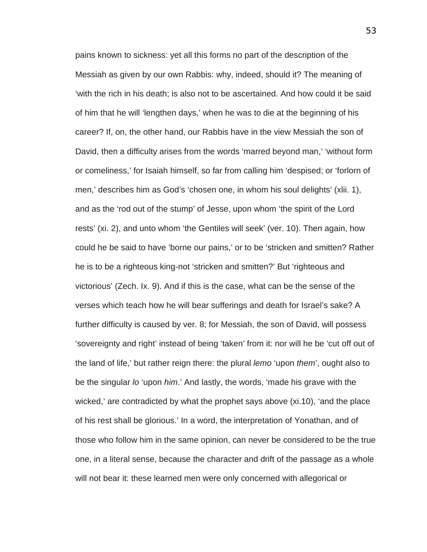pains known to sickness: yet all this forms no part of the description of the Messiah as given by our own Rabbis: why, indeed, should it? The meaning of 'with the rich in his death; is also not to be ascertained. And how could it be said of him that he will 'lengthen days,' when he was to die at the beginning of his career? If, on, the other hand, our Rabbis have in the view Messiah the son of David, then a difficulty arises from the words 'marred beyond man,' 'without form or comeliness,' for Isaiah himself, so far from calling him 'despised; or 'forlorn of men,' describes him as God's 'chosen one, in whom his soul delights' (xlii. 1), and as the 'rod out of the stump' of Jesse, upon whom 'the spirit of the Lord rests' (xi. 2), and unto whom 'the Gentiles will seek' (ver. 10). Then again, how could he be said to have 'borne our pains,' or to be 'stricken and smitten? Rather he is to be a righteous king-not 'stricken and smitten?' But 'righteous and victorious' (Zech. Ix. 9). And if this is the case, what can be the sense of the verses which teach how he will bear sufferings and death for Israel's sake? A further difficulty is caused by ver. 8; for Messiah, the son of David, will possess 'sovereignty and right' instead of being 'taken' from it: nor will he be 'cut off out of the land of life,' but rather reign there: the plural *lemo* 'upon *them*', ought also to be the singular *lo* 'upon *him*.' And lastly, the words, 'made his grave with the wicked,' are contradicted by what the prophet says above (xi.10), 'and the place of his rest shall be glorious.' In a word, the interpretation of Yonathan, and of those who follow him in the same opinion, can never be considered to be the true one, in a literal sense, because the character and drift of the passage as a whole will not bear it: these learned men were only concerned with allegorical or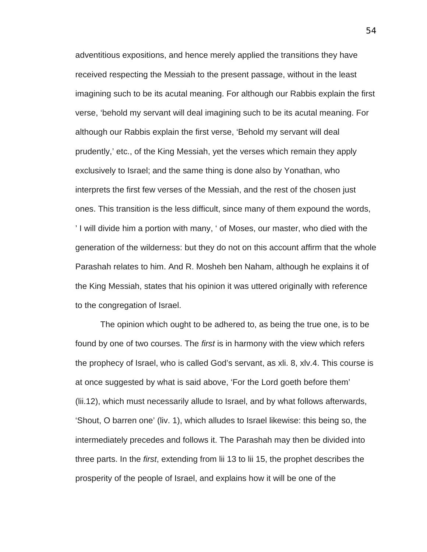adventitious expositions, and hence merely applied the transitions they have received respecting the Messiah to the present passage, without in the least imagining such to be its acutal meaning. For although our Rabbis explain the first verse, 'behold my servant will deal imagining such to be its acutal meaning. For although our Rabbis explain the first verse, 'Behold my servant will deal prudently,' etc., of the King Messiah, yet the verses which remain they apply exclusively to Israel; and the same thing is done also by Yonathan, who interprets the first few verses of the Messiah, and the rest of the chosen just ones. This transition is the less difficult, since many of them expound the words, ' I will divide him a portion with many, ' of Moses, our master, who died with the generation of the wilderness: but they do not on this account affirm that the whole Parashah relates to him. And R. Mosheh ben Naham, although he explains it of the King Messiah, states that his opinion it was uttered originally with reference to the congregation of Israel.

The opinion which ought to be adhered to, as being the true one, is to be found by one of two courses. The *first* is in harmony with the view which refers the prophecy of Israel, who is called God's servant, as xli. 8, xlv.4. This course is at once suggested by what is said above, 'For the Lord goeth before them' (lii.12), which must necessarily allude to Israel, and by what follows afterwards, 'Shout, O barren one' (liv. 1), which alludes to Israel likewise: this being so, the intermediately precedes and follows it. The Parashah may then be divided into three parts. In the *first*, extending from lii 13 to lii 15, the prophet describes the prosperity of the people of Israel, and explains how it will be one of the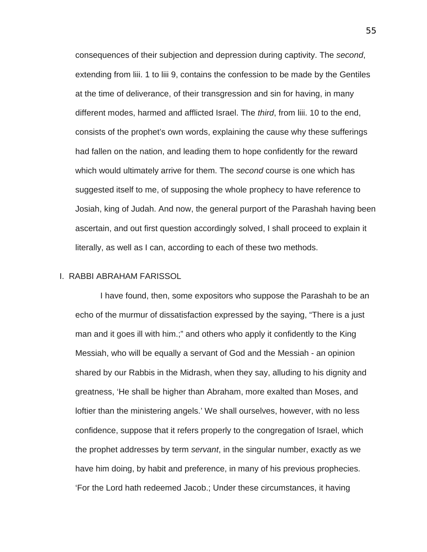consequences of their subjection and depression during captivity. The *second*, extending from liii. 1 to liii 9, contains the confession to be made by the Gentiles at the time of deliverance, of their transgression and sin for having, in many different modes, harmed and afflicted Israel. The *third*, from liii. 10 to the end, consists of the prophet's own words, explaining the cause why these sufferings had fallen on the nation, and leading them to hope confidently for the reward which would ultimately arrive for them. The *second* course is one which has suggested itself to me, of supposing the whole prophecy to have reference to Josiah, king of Judah. And now, the general purport of the Parashah having been ascertain, and out first question accordingly solved, I shall proceed to explain it literally, as well as I can, according to each of these two methods.

# I. RABBI ABRAHAM FARISSOL

I have found, then, some expositors who suppose the Parashah to be an echo of the murmur of dissatisfaction expressed by the saying, "There is a just man and it goes ill with him.;" and others who apply it confidently to the King Messiah, who will be equally a servant of God and the Messiah - an opinion shared by our Rabbis in the Midrash, when they say, alluding to his dignity and greatness, 'He shall be higher than Abraham, more exalted than Moses, and loftier than the ministering angels.' We shall ourselves, however, with no less confidence, suppose that it refers properly to the congregation of Israel, which the prophet addresses by term *servant*, in the singular number, exactly as we have him doing, by habit and preference, in many of his previous prophecies. 'For the Lord hath redeemed Jacob.; Under these circumstances, it having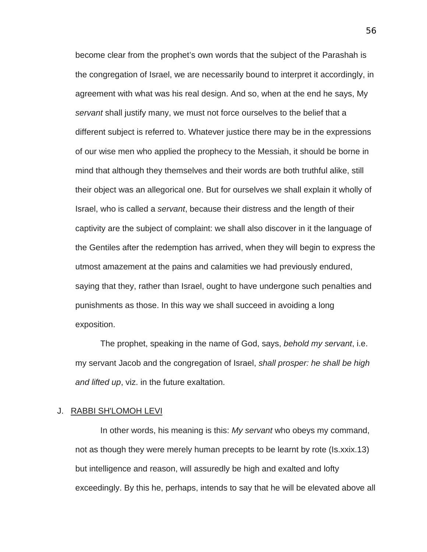become clear from the prophet's own words that the subject of the Parashah is the congregation of Israel, we are necessarily bound to interpret it accordingly, in agreement with what was his real design. And so, when at the end he says, My *servant* shall justify many, we must not force ourselves to the belief that a different subject is referred to. Whatever justice there may be in the expressions of our wise men who applied the prophecy to the Messiah, it should be borne in mind that although they themselves and their words are both truthful alike, still their object was an allegorical one. But for ourselves we shall explain it wholly of Israel, who is called a *servant*, because their distress and the length of their captivity are the subject of complaint: we shall also discover in it the language of the Gentiles after the redemption has arrived, when they will begin to express the utmost amazement at the pains and calamities we had previously endured, saying that they, rather than Israel, ought to have undergone such penalties and punishments as those. In this way we shall succeed in avoiding a long exposition.

The prophet, speaking in the name of God, says, *behold my servant*, i.e. my servant Jacob and the congregation of Israel, *shall prosper: he shall be high and lifted up*, viz. in the future exaltation.

## J. RABBI SH'LOMOH LEVI

In other words, his meaning is this: *My servant* who obeys my command, not as though they were merely human precepts to be learnt by rote (Is.xxix.13) but intelligence and reason, will assuredly be high and exalted and lofty exceedingly. By this he, perhaps, intends to say that he will be elevated above all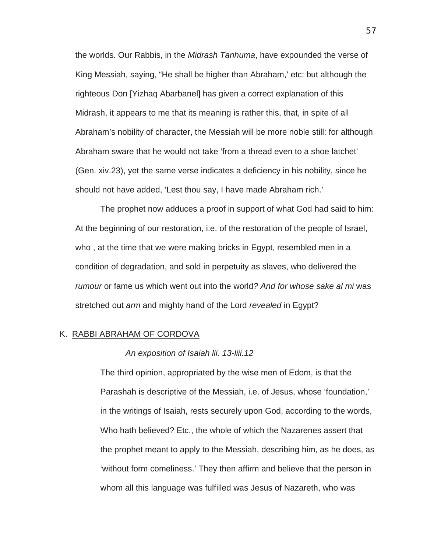the worlds. Our Rabbis, in the *Midrash Tanhuma*, have expounded the verse of King Messiah, saying, "He shall be higher than Abraham,' etc: but although the righteous Don [Yizhaq Abarbanel] has given a correct explanation of this Midrash, it appears to me that its meaning is rather this, that, in spite of all Abraham's nobility of character, the Messiah will be more noble still: for although Abraham sware that he would not take 'from a thread even to a shoe latchet' (Gen. xiv.23), yet the same verse indicates a deficiency in his nobility, since he should not have added, 'Lest thou say, I have made Abraham rich.'

The prophet now adduces a proof in support of what God had said to him: At the beginning of our restoration, i.e. of the restoration of the people of Israel, who , at the time that we were making bricks in Egypt, resembled men in a condition of degradation, and sold in perpetuity as slaves, who delivered the *rumour* or fame us which went out into the world*? And for whose sake al mi* was stretched out *arm* and mighty hand of the Lord *revealed* in Egypt?

# K. RABBI ABRAHAM OF CORDOVA

### *An exposition of Isaiah lii. 13-liii.12*

The third opinion, appropriated by the wise men of Edom, is that the Parashah is descriptive of the Messiah, i.e. of Jesus, whose 'foundation,' in the writings of Isaiah, rests securely upon God, according to the words, Who hath believed? Etc., the whole of which the Nazarenes assert that the prophet meant to apply to the Messiah, describing him, as he does, as 'without form comeliness.' They then affirm and believe that the person in whom all this language was fulfilled was Jesus of Nazareth, who was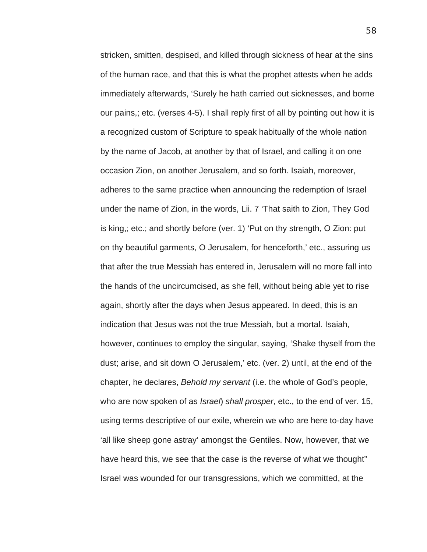stricken, smitten, despised, and killed through sickness of hear at the sins of the human race, and that this is what the prophet attests when he adds immediately afterwards, 'Surely he hath carried out sicknesses, and borne our pains,; etc. (verses 4-5). I shall reply first of all by pointing out how it is a recognized custom of Scripture to speak habitually of the whole nation by the name of Jacob, at another by that of Israel, and calling it on one occasion Zion, on another Jerusalem, and so forth. Isaiah, moreover, adheres to the same practice when announcing the redemption of Israel under the name of Zion, in the words, Lii. 7 'That saith to Zion, They God is king,; etc.; and shortly before (ver. 1) 'Put on thy strength, O Zion: put on thy beautiful garments, O Jerusalem, for henceforth,' etc., assuring us that after the true Messiah has entered in, Jerusalem will no more fall into the hands of the uncircumcised, as she fell, without being able yet to rise again, shortly after the days when Jesus appeared. In deed, this is an indication that Jesus was not the true Messiah, but a mortal. Isaiah, however, continues to employ the singular, saying, 'Shake thyself from the dust; arise, and sit down O Jerusalem,' etc. (ver. 2) until, at the end of the chapter, he declares, *Behold my servant* (i.e. the whole of God's people, who are now spoken of as *Israel*) *shall prosper*, etc., to the end of ver. 15, using terms descriptive of our exile, wherein we who are here to-day have 'all like sheep gone astray' amongst the Gentiles. Now, however, that we have heard this, we see that the case is the reverse of what we thought" Israel was wounded for our transgressions, which we committed, at the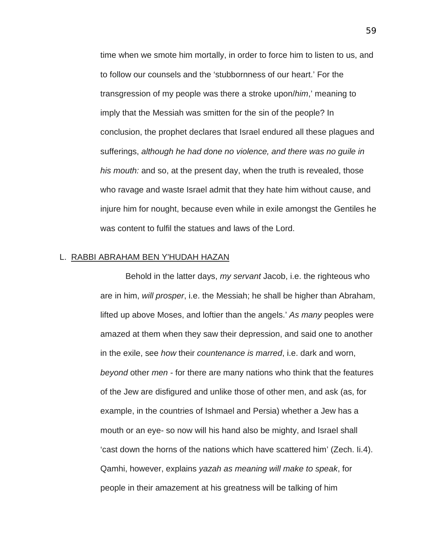time when we smote him mortally, in order to force him to listen to us, and to follow our counsels and the 'stubbornness of our heart.' For the transgression of my people was there a stroke upon/*him*,' meaning to imply that the Messiah was smitten for the sin of the people? In conclusion, the prophet declares that Israel endured all these plagues and sufferings, *although he had done no violence, and there was no guile in his mouth:* and so, at the present day, when the truth is revealed, those who ravage and waste Israel admit that they hate him without cause, and injure him for nought, because even while in exile amongst the Gentiles he was content to fulfil the statues and laws of the Lord.

## L. RABBI ABRAHAM BEN Y'HUDAH HAZAN

Behold in the latter days, *my servant* Jacob, i.e. the righteous who are in him, *will prosper*, i.e. the Messiah; he shall be higher than Abraham, lifted up above Moses, and loftier than the angels.' *As many* peoples were amazed at them when they saw their depression, and said one to another in the exile, see *how* their *countenance is marred*, i.e. dark and worn, *beyond* other *men* - for there are many nations who think that the features of the Jew are disfigured and unlike those of other men, and ask (as, for example, in the countries of Ishmael and Persia) whether a Jew has a mouth or an eye- so now will his hand also be mighty, and Israel shall 'cast down the horns of the nations which have scattered him' (Zech. Ii.4). Qamhi, however, explains *yazah as meaning will make to speak*, for people in their amazement at his greatness will be talking of him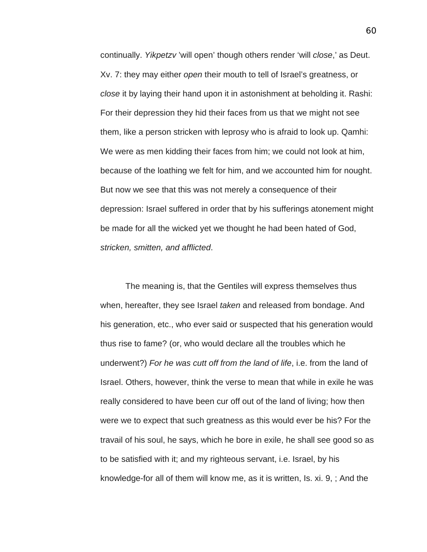continually. *Yikpetzv* 'will open' though others render 'will *close*,' as Deut. Xv. 7: they may either *open* their mouth to tell of Israel's greatness, or *close* it by laying their hand upon it in astonishment at beholding it. Rashi: For their depression they hid their faces from us that we might not see them, like a person stricken with leprosy who is afraid to look up. Qamhi: We were as men kidding their faces from him; we could not look at him, because of the loathing we felt for him, and we accounted him for nought. But now we see that this was not merely a consequence of their depression: Israel suffered in order that by his sufferings atonement might be made for all the wicked yet we thought he had been hated of God, *stricken, smitten, and afflicted*.

The meaning is, that the Gentiles will express themselves thus when, hereafter, they see Israel *taken* and released from bondage. And his generation, etc., who ever said or suspected that his generation would thus rise to fame? (or, who would declare all the troubles which he underwent?) *For he was cutt off from the land of life*, i.e. from the land of Israel. Others, however, think the verse to mean that while in exile he was really considered to have been cur off out of the land of living; how then were we to expect that such greatness as this would ever be his? For the travail of his soul, he says, which he bore in exile, he shall see good so as to be satisfied with it; and my righteous servant, i.e. Israel, by his knowledge-for all of them will know me, as it is written, Is. xi. 9, ; And the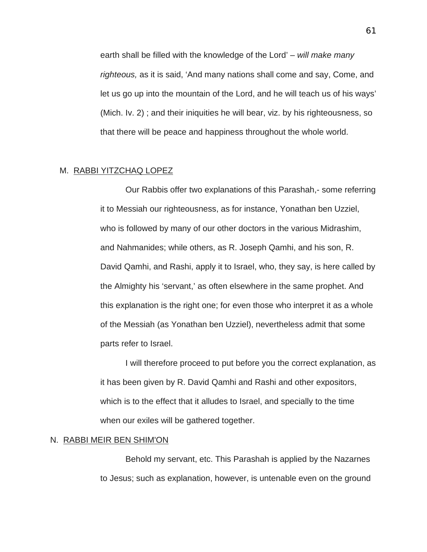earth shall be filled with the knowledge of the Lord' *– will make many righteous,* as it is said, 'And many nations shall come and say, Come, and let us go up into the mountain of the Lord, and he will teach us of his ways' (Mich. Iv. 2) ; and their iniquities he will bear, viz. by his righteousness, so that there will be peace and happiness throughout the whole world.

### M. RABBI YITZCHAQ LOPEZ

Our Rabbis offer two explanations of this Parashah,- some referring it to Messiah our righteousness, as for instance, Yonathan ben Uzziel, who is followed by many of our other doctors in the various Midrashim, and Nahmanides; while others, as R. Joseph Qamhi, and his son, R. David Qamhi, and Rashi, apply it to Israel, who, they say, is here called by the Almighty his 'servant,' as often elsewhere in the same prophet. And this explanation is the right one; for even those who interpret it as a whole of the Messiah (as Yonathan ben Uzziel), nevertheless admit that some parts refer to Israel.

I will therefore proceed to put before you the correct explanation, as it has been given by R. David Qamhi and Rashi and other expositors, which is to the effect that it alludes to Israel, and specially to the time when our exiles will be gathered together.

# N. RABBI MEIR BEN SHIM'ON

Behold my servant, etc. This Parashah is applied by the Nazarnes to Jesus; such as explanation, however, is untenable even on the ground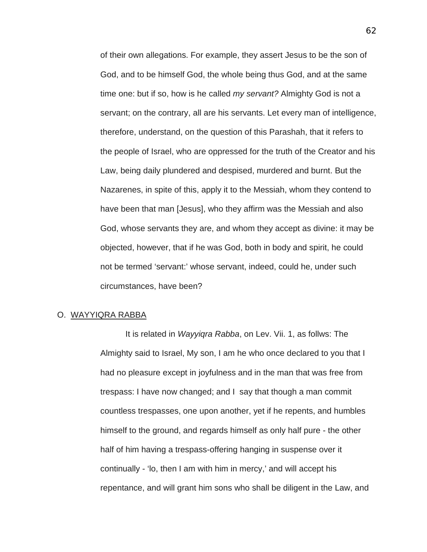of their own allegations. For example, they assert Jesus to be the son of God, and to be himself God, the whole being thus God, and at the same time one: but if so, how is he called *my servant?* Almighty God is not a servant; on the contrary, all are his servants. Let every man of intelligence, therefore, understand, on the question of this Parashah, that it refers to the people of Israel, who are oppressed for the truth of the Creator and his Law, being daily plundered and despised, murdered and burnt. But the Nazarenes, in spite of this, apply it to the Messiah, whom they contend to have been that man [Jesus], who they affirm was the Messiah and also God, whose servants they are, and whom they accept as divine: it may be objected, however, that if he was God, both in body and spirit, he could not be termed 'servant:' whose servant, indeed, could he, under such circumstances, have been?

# O. WAYYIQRA RABBA

It is related in *Wayyiqra Rabba*, on Lev. Vii. 1, as follws: The Almighty said to Israel, My son, I am he who once declared to you that I had no pleasure except in joyfulness and in the man that was free from trespass: I have now changed; and I say that though a man commit countless trespasses, one upon another, yet if he repents, and humbles himself to the ground, and regards himself as only half pure - the other half of him having a trespass-offering hanging in suspense over it continually - 'lo, then I am with him in mercy,' and will accept his repentance, and will grant him sons who shall be diligent in the Law, and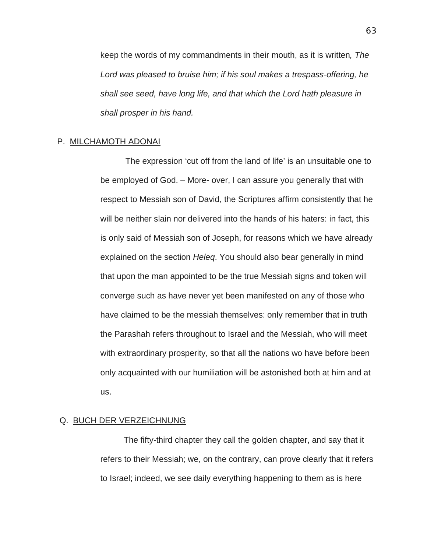keep the words of my commandments in their mouth, as it is written*, The Lord was pleased to bruise him; if his soul makes a trespass-offering, he shall see seed, have long life, and that which the Lord hath pleasure in shall prosper in his hand.* 

#### P. MILCHAMOTH ADONAI

The expression 'cut off from the land of life' is an unsuitable one to be employed of God. – More- over, I can assure you generally that with respect to Messiah son of David, the Scriptures affirm consistently that he will be neither slain nor delivered into the hands of his haters: in fact, this is only said of Messiah son of Joseph, for reasons which we have already explained on the section *Heleq*. You should also bear generally in mind that upon the man appointed to be the true Messiah signs and token will converge such as have never yet been manifested on any of those who have claimed to be the messiah themselves: only remember that in truth the Parashah refers throughout to Israel and the Messiah, who will meet with extraordinary prosperity, so that all the nations wo have before been only acquainted with our humiliation will be astonished both at him and at us.

#### Q. BUCH DER VERZEICHNUNG

The fifty-third chapter they call the golden chapter, and say that it refers to their Messiah; we, on the contrary, can prove clearly that it refers to Israel; indeed, we see daily everything happening to them as is here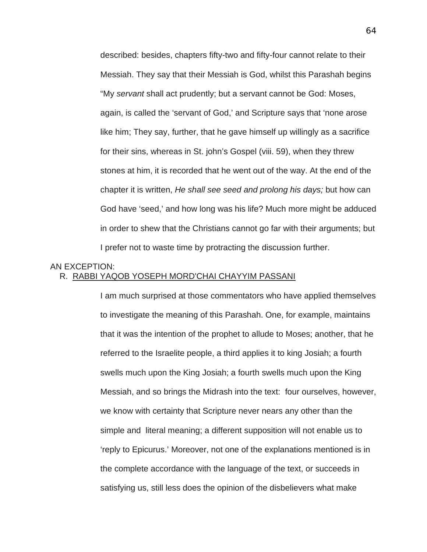described: besides, chapters fifty-two and fifty-four cannot relate to their Messiah. They say that their Messiah is God, whilst this Parashah begins "My *servant* shall act prudently; but a servant cannot be God: Moses, again, is called the 'servant of God,' and Scripture says that 'none arose like him; They say, further, that he gave himself up willingly as a sacrifice for their sins, whereas in St. john's Gospel (viii. 59), when they threw stones at him, it is recorded that he went out of the way. At the end of the chapter it is written, *He shall see seed and prolong his days;* but how can God have 'seed,' and how long was his life? Much more might be adduced in order to shew that the Christians cannot go far with their arguments; but I prefer not to waste time by protracting the discussion further.

# AN EXCEPTION: R. RABBI YAQOB YOSEPH MORD'CHAI CHAYYIM PASSANI

I am much surprised at those commentators who have applied themselves to investigate the meaning of this Parashah. One, for example, maintains that it was the intention of the prophet to allude to Moses; another, that he referred to the Israelite people, a third applies it to king Josiah; a fourth swells much upon the King Josiah; a fourth swells much upon the King Messiah, and so brings the Midrash into the text: four ourselves, however, we know with certainty that Scripture never nears any other than the simple and literal meaning; a different supposition will not enable us to 'reply to Epicurus.' Moreover, not one of the explanations mentioned is in the complete accordance with the language of the text, or succeeds in satisfying us, still less does the opinion of the disbelievers what make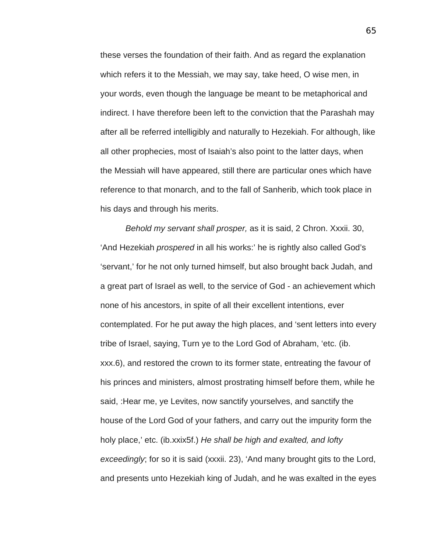these verses the foundation of their faith. And as regard the explanation which refers it to the Messiah, we may say, take heed, O wise men, in your words, even though the language be meant to be metaphorical and indirect. I have therefore been left to the conviction that the Parashah may after all be referred intelligibly and naturally to Hezekiah. For although, like all other prophecies, most of Isaiah's also point to the latter days, when the Messiah will have appeared, still there are particular ones which have reference to that monarch, and to the fall of Sanherib, which took place in his days and through his merits.

*Behold my servant shall prosper,* as it is said, 2 Chron. Xxxii. 30, 'And Hezekiah *prospered* in all his works:' he is rightly also called God's 'servant,' for he not only turned himself, but also brought back Judah, and a great part of Israel as well, to the service of God - an achievement which none of his ancestors, in spite of all their excellent intentions, ever contemplated. For he put away the high places, and 'sent letters into every tribe of Israel, saying, Turn ye to the Lord God of Abraham, 'etc. (ib. xxx.6), and restored the crown to its former state, entreating the favour of his princes and ministers, almost prostrating himself before them, while he said, :Hear me, ye Levites, now sanctify yourselves, and sanctify the house of the Lord God of your fathers, and carry out the impurity form the holy place,' etc. (ib.xxix5f.) *He shall be high and exalted, and lofty exceedingly*; for so it is said (xxxii. 23), 'And many brought gits to the Lord, and presents unto Hezekiah king of Judah, and he was exalted in the eyes